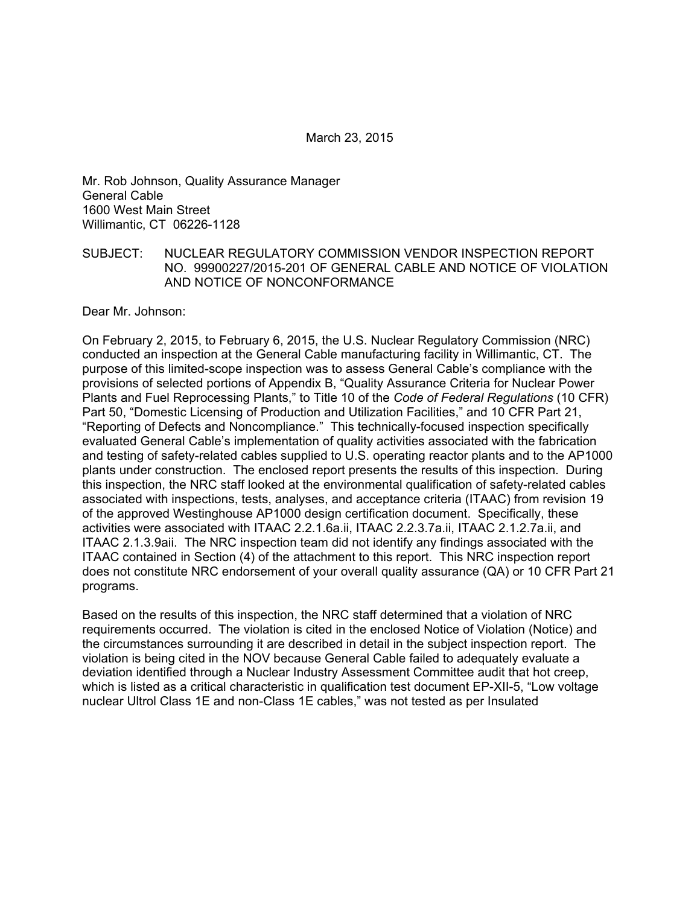Mr. Rob Johnson, Quality Assurance Manager General Cable 1600 West Main Street Willimantic, CT 06226-1128

#### SUBJECT: NUCLEAR REGULATORY COMMISSION VENDOR INSPECTION REPORT NO. 99900227/2015-201 OF GENERAL CABLE AND NOTICE OF VIOLATION AND NOTICE OF NONCONFORMANCE

Dear Mr. Johnson:

On February 2, 2015, to February 6, 2015, the U.S. Nuclear Regulatory Commission (NRC) conducted an inspection at the General Cable manufacturing facility in Willimantic, CT. The purpose of this limited-scope inspection was to assess General Cable's compliance with the provisions of selected portions of Appendix B, "Quality Assurance Criteria for Nuclear Power Plants and Fuel Reprocessing Plants," to Title 10 of the *Code of Federal Regulations* (10 CFR) Part 50, "Domestic Licensing of Production and Utilization Facilities," and 10 CFR Part 21, "Reporting of Defects and Noncompliance." This technically-focused inspection specifically evaluated General Cable's implementation of quality activities associated with the fabrication and testing of safety-related cables supplied to U.S. operating reactor plants and to the AP1000 plants under construction. The enclosed report presents the results of this inspection. During this inspection, the NRC staff looked at the environmental qualification of safety-related cables associated with inspections, tests, analyses, and acceptance criteria (ITAAC) from revision 19 of the approved Westinghouse AP1000 design certification document. Specifically, these activities were associated with ITAAC 2.2.1.6a.ii, ITAAC 2.2.3.7a.ii, ITAAC 2.1.2.7a.ii, and ITAAC 2.1.3.9aii. The NRC inspection team did not identify any findings associated with the ITAAC contained in Section (4) of the attachment to this report. This NRC inspection report does not constitute NRC endorsement of your overall quality assurance (QA) or 10 CFR Part 21 programs.

Based on the results of this inspection, the NRC staff determined that a violation of NRC requirements occurred. The violation is cited in the enclosed Notice of Violation (Notice) and the circumstances surrounding it are described in detail in the subject inspection report. The violation is being cited in the NOV because General Cable failed to adequately evaluate a deviation identified through a Nuclear Industry Assessment Committee audit that hot creep, which is listed as a critical characteristic in qualification test document EP-XII-5, "Low voltage nuclear Ultrol Class 1E and non-Class 1E cables," was not tested as per Insulated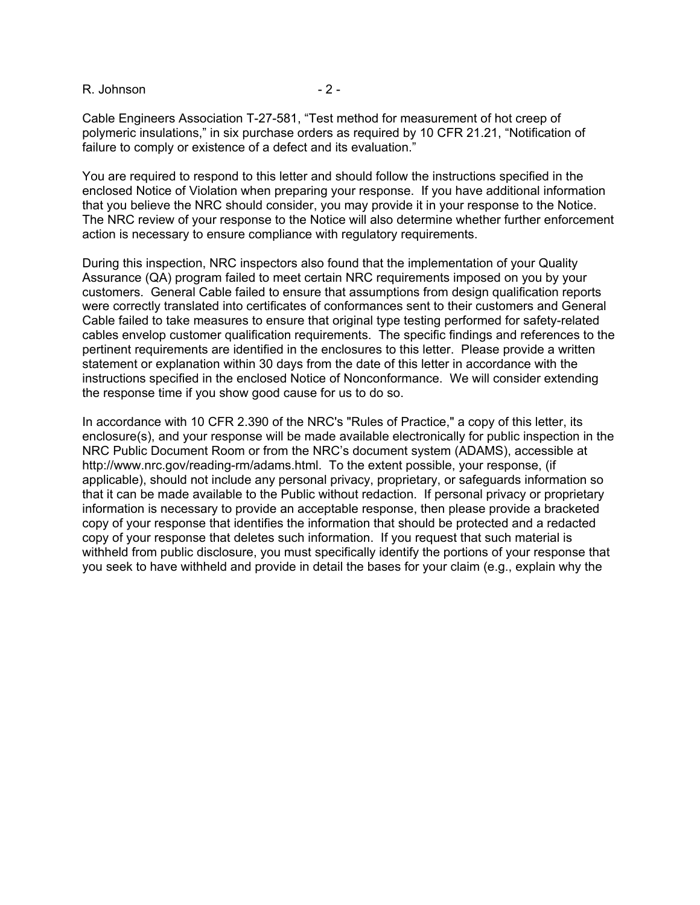R. Johnson - 2 - 2 -

Cable Engineers Association T-27-581, "Test method for measurement of hot creep of polymeric insulations," in six purchase orders as required by 10 CFR 21.21, "Notification of failure to comply or existence of a defect and its evaluation."

You are required to respond to this letter and should follow the instructions specified in the enclosed Notice of Violation when preparing your response. If you have additional information that you believe the NRC should consider, you may provide it in your response to the Notice. The NRC review of your response to the Notice will also determine whether further enforcement action is necessary to ensure compliance with regulatory requirements.

During this inspection, NRC inspectors also found that the implementation of your Quality Assurance (QA) program failed to meet certain NRC requirements imposed on you by your customers. General Cable failed to ensure that assumptions from design qualification reports were correctly translated into certificates of conformances sent to their customers and General Cable failed to take measures to ensure that original type testing performed for safety-related cables envelop customer qualification requirements. The specific findings and references to the pertinent requirements are identified in the enclosures to this letter. Please provide a written statement or explanation within 30 days from the date of this letter in accordance with the instructions specified in the enclosed Notice of Nonconformance. We will consider extending the response time if you show good cause for us to do so.

In accordance with 10 CFR 2.390 of the NRC's "Rules of Practice," a copy of this letter, its enclosure(s), and your response will be made available electronically for public inspection in the NRC Public Document Room or from the NRC's document system (ADAMS), accessible at http://www.nrc.gov/reading-rm/adams.html. To the extent possible, your response, (if applicable), should not include any personal privacy, proprietary, or safeguards information so that it can be made available to the Public without redaction. If personal privacy or proprietary information is necessary to provide an acceptable response, then please provide a bracketed copy of your response that identifies the information that should be protected and a redacted copy of your response that deletes such information. If you request that such material is withheld from public disclosure, you must specifically identify the portions of your response that you seek to have withheld and provide in detail the bases for your claim (e.g., explain why the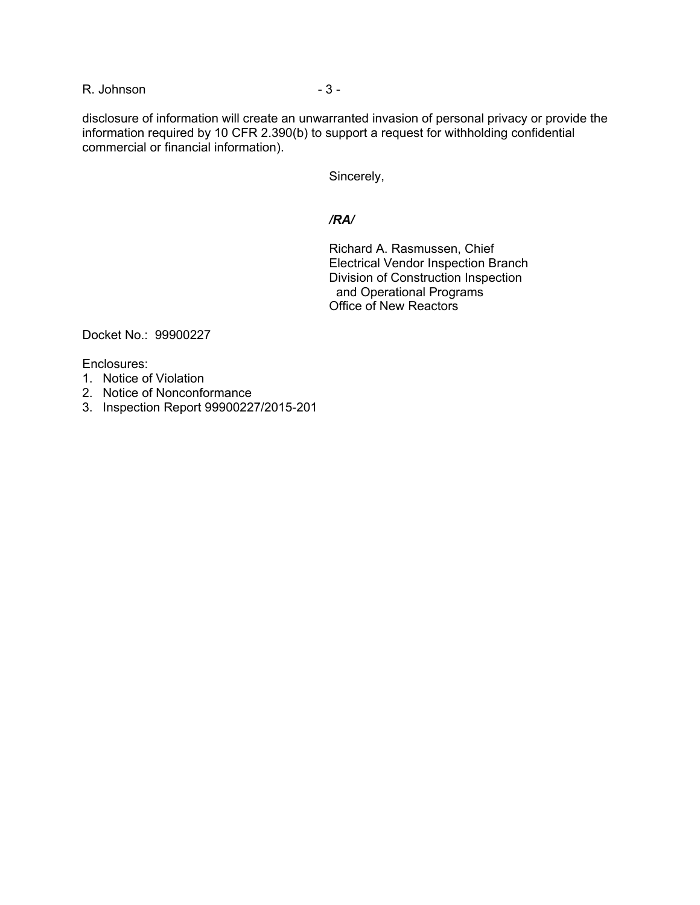R. Johnson - 3 - 3 -

disclosure of information will create an unwarranted invasion of personal privacy or provide the information required by 10 CFR 2.390(b) to support a request for withholding confidential commercial or financial information).

Sincerely,

### */RA/*

Richard A. Rasmussen, Chief Electrical Vendor Inspection Branch Division of Construction Inspection and Operational Programs Office of New Reactors

Docket No.: 99900227

Enclosures:

- 1. Notice of Violation
- 2. Notice of Nonconformance
- 3. Inspection Report 99900227/2015-201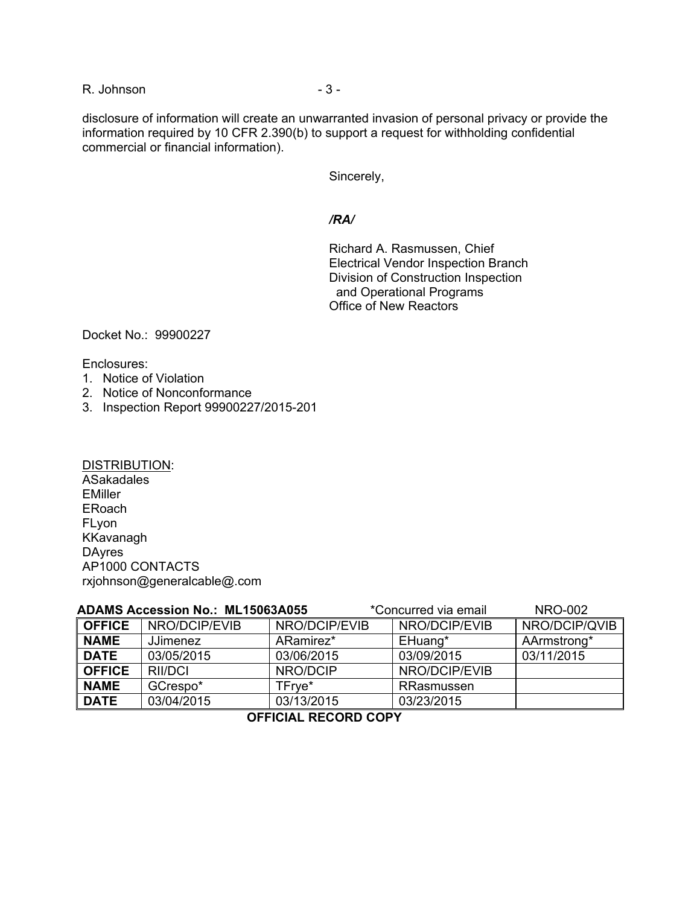R. Johnson - 3 - 3 -

disclosure of information will create an unwarranted invasion of personal privacy or provide the information required by 10 CFR 2.390(b) to support a request for withholding confidential commercial or financial information).

Sincerely,

#### */RA/*

Richard A. Rasmussen, Chief Electrical Vendor Inspection Branch Division of Construction Inspection and Operational Programs Office of New Reactors

Docket No.: 99900227

Enclosures:

- 1. Notice of Violation
- 2. Notice of Nonconformance
- 3. Inspection Report 99900227/2015-201

DISTRIBUTION: ASakadales EMiller ERoach FLyon KKavanagh **DAyres** AP1000 CONTACTS rxjohnson@generalcable@.com

|               | <b>ADAMS Accession No.: ML15063A055</b> |               | *Concurred via email | <b>NRO-002</b> |
|---------------|-----------------------------------------|---------------|----------------------|----------------|
| <b>OFFICE</b> | NRO/DCIP/EVIB                           | NRO/DCIP/EVIB | NRO/DCIP/EVIB        | NRO/DCIP/QVIB  |
| <b>NAME</b>   | <b>JJimenez</b>                         | ARamirez*     | EHuang*              | AArmstrong*    |
| <b>DATE</b>   | 03/05/2015                              | 03/06/2015    | 03/09/2015           | 03/11/2015     |
| <b>OFFICE</b> | RII/DCI                                 | NRO/DCIP      | NRO/DCIP/EVIB        |                |
| <b>NAME</b>   | GCrespo*                                | TFrve*        | RRasmussen           |                |
| <b>DATE</b>   | 03/04/2015                              | 03/13/2015    | 03/23/2015           |                |

**OFFICIAL RECORD COPY**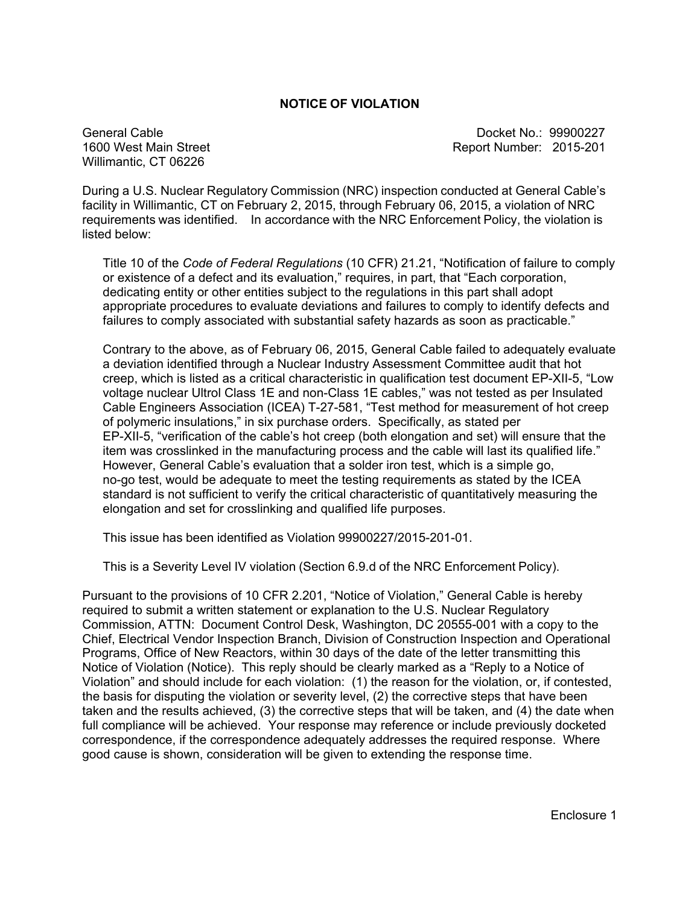#### **NOTICE OF VIOLATION**

General Cable 1600 West Main Street Willimantic, CT 06226

 Docket No.: 99900227 Report Number: 2015-201

During a U.S. Nuclear Regulatory Commission (NRC) inspection conducted at General Cable's facility in Willimantic, CT on February 2, 2015, through February 06, 2015, a violation of NRC requirements was identified. In accordance with the NRC Enforcement Policy, the violation is listed below:

Title 10 of the *Code of Federal Regulations* (10 CFR) 21.21, "Notification of failure to comply or existence of a defect and its evaluation," requires, in part, that "Each corporation, dedicating entity or other entities subject to the regulations in this part shall adopt appropriate procedures to evaluate deviations and failures to comply to identify defects and failures to comply associated with substantial safety hazards as soon as practicable."

Contrary to the above, as of February 06, 2015, General Cable failed to adequately evaluate a deviation identified through a Nuclear Industry Assessment Committee audit that hot creep, which is listed as a critical characteristic in qualification test document EP-XII-5, "Low voltage nuclear Ultrol Class 1E and non-Class 1E cables," was not tested as per Insulated Cable Engineers Association (ICEA) T-27-581, "Test method for measurement of hot creep of polymeric insulations," in six purchase orders. Specifically, as stated per EP-XII-5, "verification of the cable's hot creep (both elongation and set) will ensure that the item was crosslinked in the manufacturing process and the cable will last its qualified life." However, General Cable's evaluation that a solder iron test, which is a simple go, no-go test, would be adequate to meet the testing requirements as stated by the ICEA standard is not sufficient to verify the critical characteristic of quantitatively measuring the elongation and set for crosslinking and qualified life purposes.

This issue has been identified as Violation 99900227/2015-201-01.

This is a Severity Level IV violation (Section 6.9.d of the NRC Enforcement Policy).

Pursuant to the provisions of 10 CFR 2.201, "Notice of Violation," General Cable is hereby required to submit a written statement or explanation to the U.S. Nuclear Regulatory Commission, ATTN: Document Control Desk, Washington, DC 20555-001 with a copy to the Chief, Electrical Vendor Inspection Branch, Division of Construction Inspection and Operational Programs, Office of New Reactors, within 30 days of the date of the letter transmitting this Notice of Violation (Notice). This reply should be clearly marked as a "Reply to a Notice of Violation" and should include for each violation: (1) the reason for the violation, or, if contested, the basis for disputing the violation or severity level, (2) the corrective steps that have been taken and the results achieved, (3) the corrective steps that will be taken, and (4) the date when full compliance will be achieved. Your response may reference or include previously docketed correspondence, if the correspondence adequately addresses the required response. Where good cause is shown, consideration will be given to extending the response time.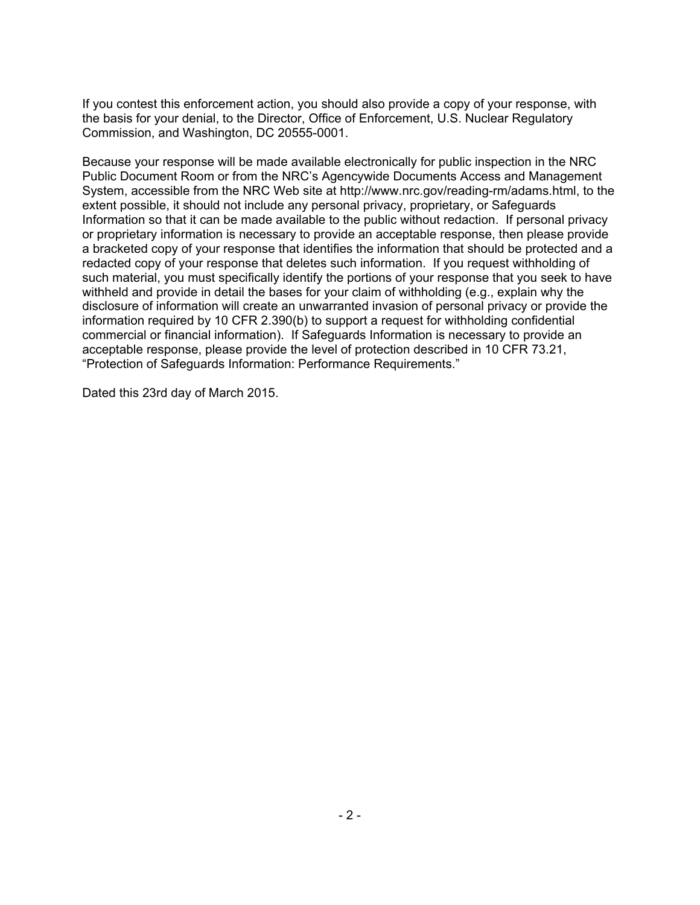If you contest this enforcement action, you should also provide a copy of your response, with the basis for your denial, to the Director, Office of Enforcement, U.S. Nuclear Regulatory Commission, and Washington, DC 20555-0001.

Because your response will be made available electronically for public inspection in the NRC Public Document Room or from the NRC's Agencywide Documents Access and Management System, accessible from the NRC Web site at http://www.nrc.gov/reading-rm/adams.html, to the extent possible, it should not include any personal privacy, proprietary, or Safeguards Information so that it can be made available to the public without redaction. If personal privacy or proprietary information is necessary to provide an acceptable response, then please provide a bracketed copy of your response that identifies the information that should be protected and a redacted copy of your response that deletes such information. If you request withholding of such material, you must specifically identify the portions of your response that you seek to have withheld and provide in detail the bases for your claim of withholding (e.g., explain why the disclosure of information will create an unwarranted invasion of personal privacy or provide the information required by 10 CFR 2.390(b) to support a request for withholding confidential commercial or financial information). If Safeguards Information is necessary to provide an acceptable response, please provide the level of protection described in 10 CFR 73.21, "Protection of Safeguards Information: Performance Requirements."

Dated this 23rd day of March 2015.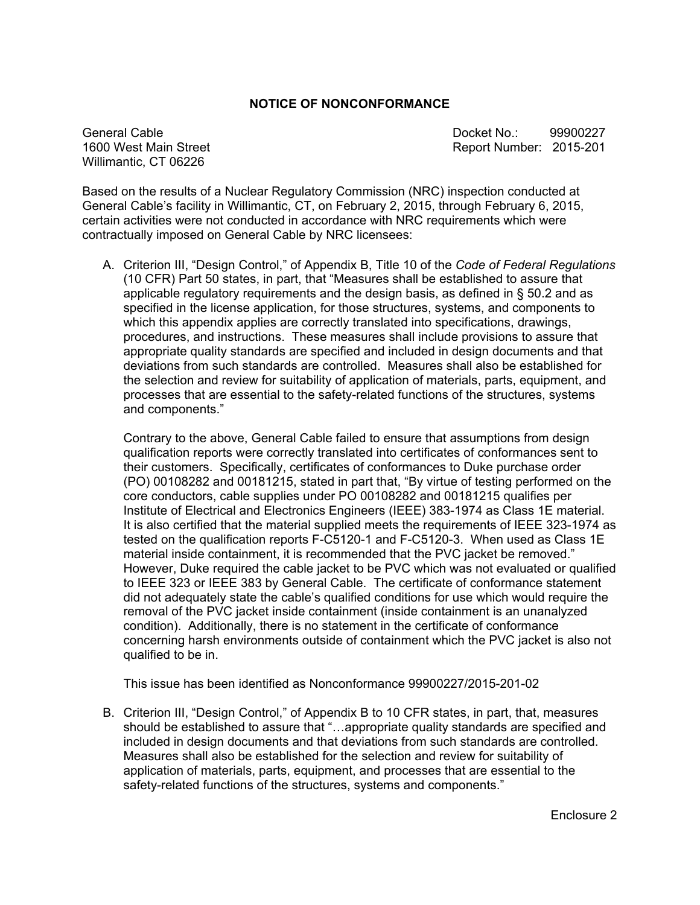#### **NOTICE OF NONCONFORMANCE**

Willimantic, CT 06226

General Cable **Docket No.:** 99900227 1600 West Main Street Report Number: 2015-201

Based on the results of a Nuclear Regulatory Commission (NRC) inspection conducted at General Cable's facility in Willimantic, CT, on February 2, 2015, through February 6, 2015, certain activities were not conducted in accordance with NRC requirements which were contractually imposed on General Cable by NRC licensees:

A. Criterion III, "Design Control," of Appendix B, Title 10 of the *Code of Federal Regulations* (10 CFR) Part 50 states, in part, that "Measures shall be established to assure that applicable regulatory requirements and the design basis, as defined in § 50.2 and as specified in the license application, for those structures, systems, and components to which this appendix applies are correctly translated into specifications, drawings, procedures, and instructions. These measures shall include provisions to assure that appropriate quality standards are specified and included in design documents and that deviations from such standards are controlled. Measures shall also be established for the selection and review for suitability of application of materials, parts, equipment, and processes that are essential to the safety-related functions of the structures, systems and components."

Contrary to the above, General Cable failed to ensure that assumptions from design qualification reports were correctly translated into certificates of conformances sent to their customers. Specifically, certificates of conformances to Duke purchase order (PO) 00108282 and 00181215, stated in part that, "By virtue of testing performed on the core conductors, cable supplies under PO 00108282 and 00181215 qualifies per Institute of Electrical and Electronics Engineers (IEEE) 383-1974 as Class 1E material. It is also certified that the material supplied meets the requirements of IEEE 323-1974 as tested on the qualification reports F-C5120-1 and F-C5120-3. When used as Class 1E material inside containment, it is recommended that the PVC jacket be removed." However, Duke required the cable jacket to be PVC which was not evaluated or qualified to IEEE 323 or IEEE 383 by General Cable. The certificate of conformance statement did not adequately state the cable's qualified conditions for use which would require the removal of the PVC jacket inside containment (inside containment is an unanalyzed condition). Additionally, there is no statement in the certificate of conformance concerning harsh environments outside of containment which the PVC jacket is also not qualified to be in.

This issue has been identified as Nonconformance 99900227/2015-201-02

B. Criterion III, "Design Control," of Appendix B to 10 CFR states, in part, that, measures should be established to assure that "…appropriate quality standards are specified and included in design documents and that deviations from such standards are controlled. Measures shall also be established for the selection and review for suitability of application of materials, parts, equipment, and processes that are essential to the safety-related functions of the structures, systems and components."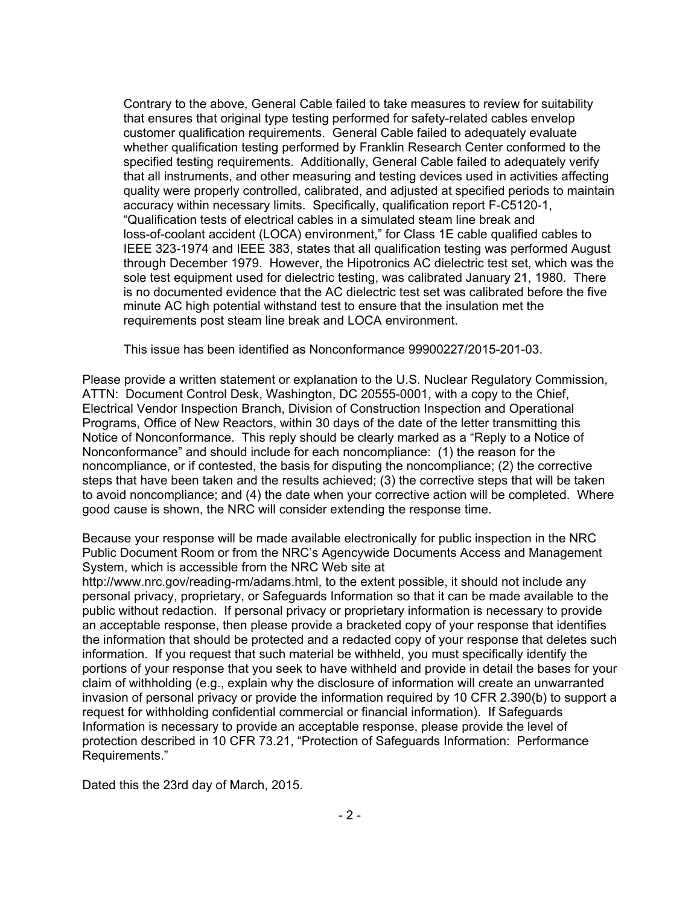Contrary to the above, General Cable failed to take measures to review for suitability that ensures that original type testing performed for safety-related cables envelop customer qualification requirements. General Cable failed to adequately evaluate whether qualification testing performed by Franklin Research Center conformed to the specified testing requirements. Additionally, General Cable failed to adequately verify that all instruments, and other measuring and testing devices used in activities affecting quality were properly controlled, calibrated, and adjusted at specified periods to maintain accuracy within necessary limits. Specifically, qualification report F-C5120-1, "Qualification tests of electrical cables in a simulated steam line break and loss-of-coolant accident (LOCA) environment," for Class 1E cable qualified cables to IEEE 323-1974 and IEEE 383, states that all qualification testing was performed August through December 1979. However, the Hipotronics AC dielectric test set, which was the sole test equipment used for dielectric testing, was calibrated January 21, 1980. There is no documented evidence that the AC dielectric test set was calibrated before the five minute AC high potential withstand test to ensure that the insulation met the requirements post steam line break and LOCA environment.

This issue has been identified as Nonconformance 99900227/2015-201-03.

Please provide a written statement or explanation to the U.S. Nuclear Regulatory Commission, ATTN: Document Control Desk, Washington, DC 20555-0001, with a copy to the Chief, Electrical Vendor Inspection Branch, Division of Construction Inspection and Operational Programs, Office of New Reactors, within 30 days of the date of the letter transmitting this Notice of Nonconformance. This reply should be clearly marked as a "Reply to a Notice of Nonconformance" and should include for each noncompliance: (1) the reason for the noncompliance, or if contested, the basis for disputing the noncompliance; (2) the corrective steps that have been taken and the results achieved; (3) the corrective steps that will be taken to avoid noncompliance; and (4) the date when your corrective action will be completed. Where good cause is shown, the NRC will consider extending the response time.

Because your response will be made available electronically for public inspection in the NRC Public Document Room or from the NRC's Agencywide Documents Access and Management System, which is accessible from the NRC Web site at

http://www.nrc.gov/reading-rm/adams.html, to the extent possible, it should not include any personal privacy, proprietary, or Safeguards Information so that it can be made available to the public without redaction. If personal privacy or proprietary information is necessary to provide an acceptable response, then please provide a bracketed copy of your response that identifies the information that should be protected and a redacted copy of your response that deletes such information. If you request that such material be withheld, you must specifically identify the portions of your response that you seek to have withheld and provide in detail the bases for your claim of withholding (e.g., explain why the disclosure of information will create an unwarranted invasion of personal privacy or provide the information required by 10 CFR 2.390(b) to support a request for withholding confidential commercial or financial information). If Safeguards Information is necessary to provide an acceptable response, please provide the level of protection described in 10 CFR 73.21, "Protection of Safeguards Information: Performance Requirements."

Dated this the 23rd day of March, 2015.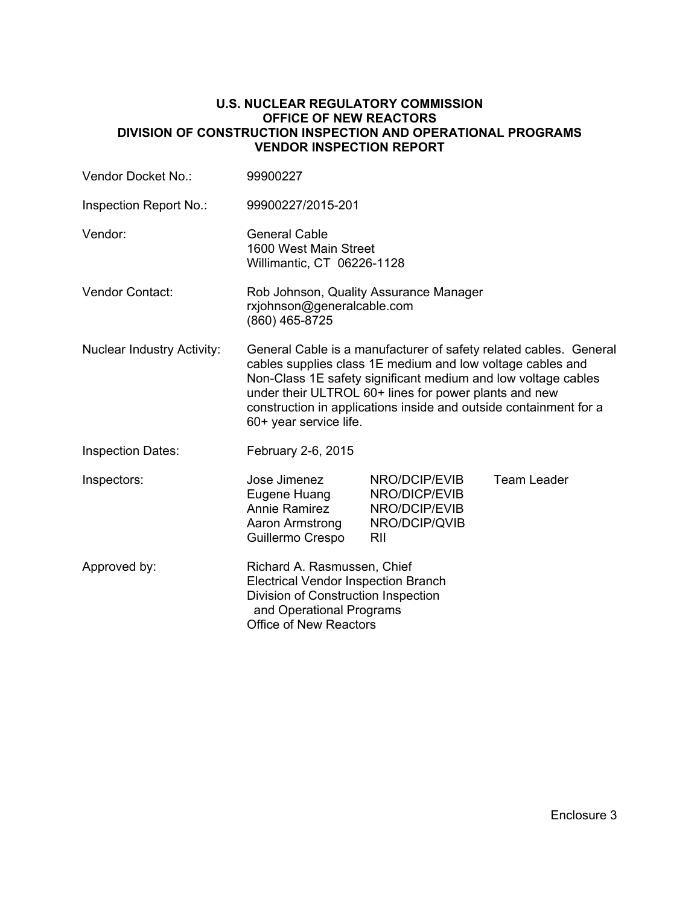#### **U.S. NUCLEAR REGULATORY COMMISSION OFFICE OF NEW REACTORS DIVISION OF CONSTRUCTION INSPECTION AND OPERATIONAL PROGRAMS VENDOR INSPECTION REPORT**

| Vendor Docket No.:                | 99900227                                                                                                                                                                                                                                                                                                                                                 |                                                                         |                    |  |
|-----------------------------------|----------------------------------------------------------------------------------------------------------------------------------------------------------------------------------------------------------------------------------------------------------------------------------------------------------------------------------------------------------|-------------------------------------------------------------------------|--------------------|--|
| Inspection Report No.:            | 99900227/2015-201                                                                                                                                                                                                                                                                                                                                        |                                                                         |                    |  |
| Vendor:                           | <b>General Cable</b><br>1600 West Main Street<br>Willimantic, CT 06226-1128                                                                                                                                                                                                                                                                              |                                                                         |                    |  |
| Vendor Contact:                   | Rob Johnson, Quality Assurance Manager<br>rxjohnson@generalcable.com<br>(860) 465-8725                                                                                                                                                                                                                                                                   |                                                                         |                    |  |
| <b>Nuclear Industry Activity:</b> | General Cable is a manufacturer of safety related cables. General<br>cables supplies class 1E medium and low voltage cables and<br>Non-Class 1E safety significant medium and low voltage cables<br>under their ULTROL 60+ lines for power plants and new<br>construction in applications inside and outside containment for a<br>60+ year service life. |                                                                         |                    |  |
| <b>Inspection Dates:</b>          | February 2-6, 2015                                                                                                                                                                                                                                                                                                                                       |                                                                         |                    |  |
| Inspectors:                       | Jose Jimenez<br>Eugene Huang<br><b>Annie Ramirez</b><br>Aaron Armstrong<br>Guillermo Crespo                                                                                                                                                                                                                                                              | NRO/DCIP/EVIB<br>NRO/DICP/EVIB<br>NRO/DCIP/EVIB<br>NRO/DCIP/QVIB<br>RII | <b>Team Leader</b> |  |
| Approved by:                      | Richard A. Rasmussen, Chief<br><b>Electrical Vendor Inspection Branch</b><br>Division of Construction Inspection<br>and Operational Programs<br><b>Office of New Reactors</b>                                                                                                                                                                            |                                                                         |                    |  |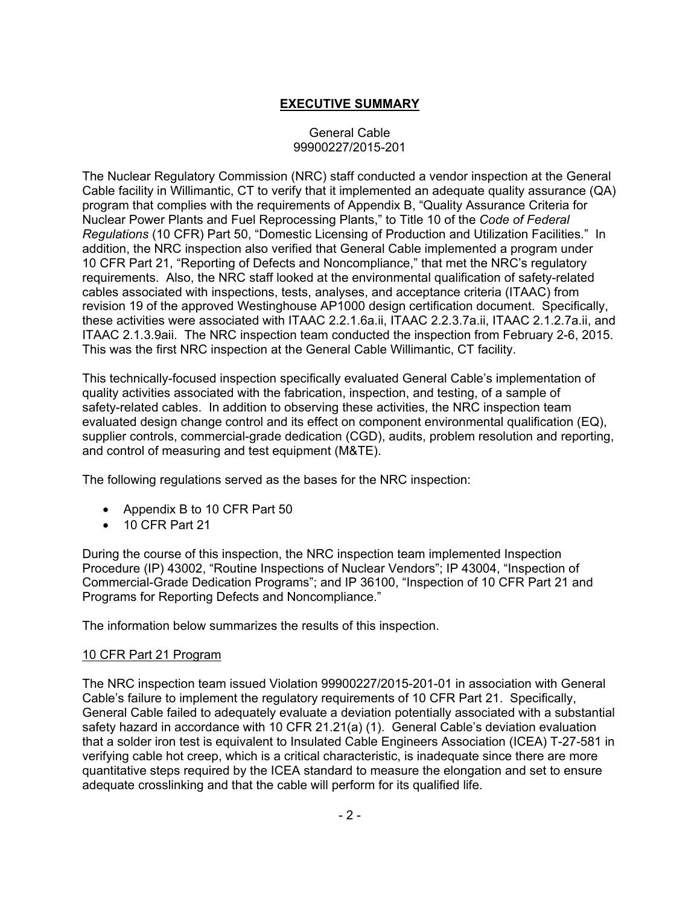# **EXECUTIVE SUMMARY**

#### General Cable 99900227/2015-201

The Nuclear Regulatory Commission (NRC) staff conducted a vendor inspection at the General Cable facility in Willimantic, CT to verify that it implemented an adequate quality assurance (QA) program that complies with the requirements of Appendix B, "Quality Assurance Criteria for Nuclear Power Plants and Fuel Reprocessing Plants," to Title 10 of the *Code of Federal Regulations* (10 CFR) Part 50, "Domestic Licensing of Production and Utilization Facilities." In addition, the NRC inspection also verified that General Cable implemented a program under 10 CFR Part 21, "Reporting of Defects and Noncompliance," that met the NRC's regulatory requirements. Also, the NRC staff looked at the environmental qualification of safety-related cables associated with inspections, tests, analyses, and acceptance criteria (ITAAC) from revision 19 of the approved Westinghouse AP1000 design certification document. Specifically, these activities were associated with ITAAC 2.2.1.6a.ii, ITAAC 2.2.3.7a.ii, ITAAC 2.1.2.7a.ii, and ITAAC 2.1.3.9aii. The NRC inspection team conducted the inspection from February 2-6, 2015. This was the first NRC inspection at the General Cable Willimantic, CT facility.

This technically-focused inspection specifically evaluated General Cable's implementation of quality activities associated with the fabrication, inspection, and testing, of a sample of safety-related cables. In addition to observing these activities, the NRC inspection team evaluated design change control and its effect on component environmental qualification (EQ), supplier controls, commercial-grade dedication (CGD), audits, problem resolution and reporting, and control of measuring and test equipment (M&TE).

The following regulations served as the bases for the NRC inspection:

- Appendix B to 10 CFR Part 50
- 10 CFR Part 21

During the course of this inspection, the NRC inspection team implemented Inspection Procedure (IP) 43002, "Routine Inspections of Nuclear Vendors"; IP 43004, "Inspection of Commercial-Grade Dedication Programs"; and IP 36100, "Inspection of 10 CFR Part 21 and Programs for Reporting Defects and Noncompliance."

The information below summarizes the results of this inspection.

### 10 CFR Part 21 Program

The NRC inspection team issued Violation 99900227/2015-201-01 in association with General Cable's failure to implement the regulatory requirements of 10 CFR Part 21. Specifically, General Cable failed to adequately evaluate a deviation potentially associated with a substantial safety hazard in accordance with 10 CFR 21.21(a) (1). General Cable's deviation evaluation that a solder iron test is equivalent to Insulated Cable Engineers Association (ICEA) T-27-581 in verifying cable hot creep, which is a critical characteristic, is inadequate since there are more quantitative steps required by the ICEA standard to measure the elongation and set to ensure adequate crosslinking and that the cable will perform for its qualified life.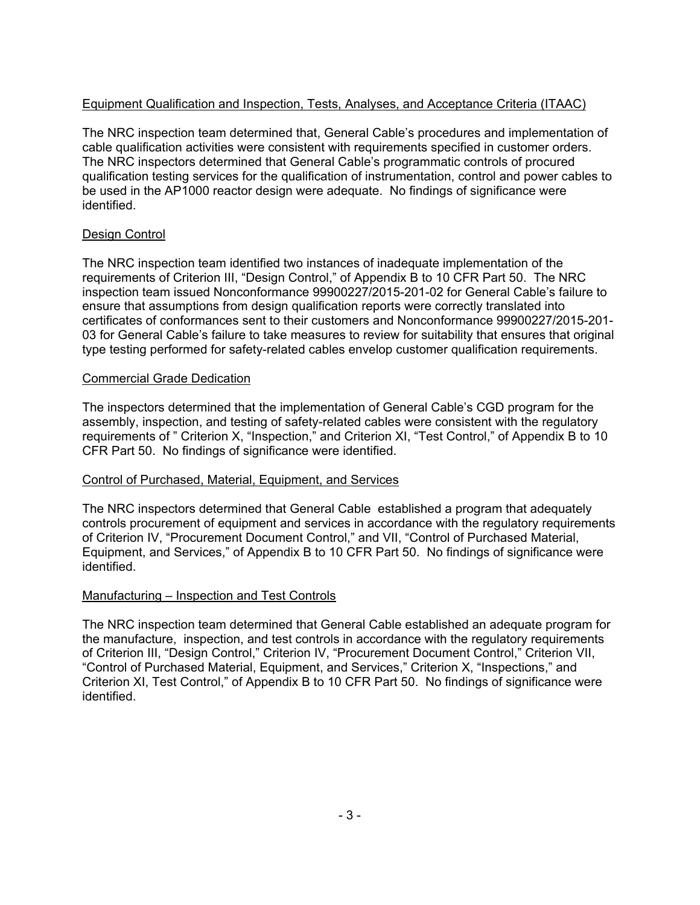# Equipment Qualification and Inspection, Tests, Analyses, and Acceptance Criteria (ITAAC)

The NRC inspection team determined that, General Cable's procedures and implementation of cable qualification activities were consistent with requirements specified in customer orders. The NRC inspectors determined that General Cable's programmatic controls of procured qualification testing services for the qualification of instrumentation, control and power cables to be used in the AP1000 reactor design were adequate. No findings of significance were identified.

## Design Control

The NRC inspection team identified two instances of inadequate implementation of the requirements of Criterion III, "Design Control," of Appendix B to 10 CFR Part 50. The NRC inspection team issued Nonconformance 99900227/2015-201-02 for General Cable's failure to ensure that assumptions from design qualification reports were correctly translated into certificates of conformances sent to their customers and Nonconformance 99900227/2015-201- 03 for General Cable's failure to take measures to review for suitability that ensures that original type testing performed for safety-related cables envelop customer qualification requirements.

## Commercial Grade Dedication

The inspectors determined that the implementation of General Cable's CGD program for the assembly, inspection, and testing of safety-related cables were consistent with the regulatory requirements of " Criterion X, "Inspection," and Criterion XI, "Test Control," of Appendix B to 10 CFR Part 50. No findings of significance were identified.

## Control of Purchased, Material, Equipment, and Services

The NRC inspectors determined that General Cable established a program that adequately controls procurement of equipment and services in accordance with the regulatory requirements of Criterion IV, "Procurement Document Control," and VII, "Control of Purchased Material, Equipment, and Services," of Appendix B to 10 CFR Part 50. No findings of significance were identified.

## Manufacturing – Inspection and Test Controls

The NRC inspection team determined that General Cable established an adequate program for the manufacture, inspection, and test controls in accordance with the regulatory requirements of Criterion III, "Design Control," Criterion IV, "Procurement Document Control," Criterion VII, "Control of Purchased Material, Equipment, and Services," Criterion X, "Inspections," and Criterion XI, Test Control," of Appendix B to 10 CFR Part 50. No findings of significance were identified.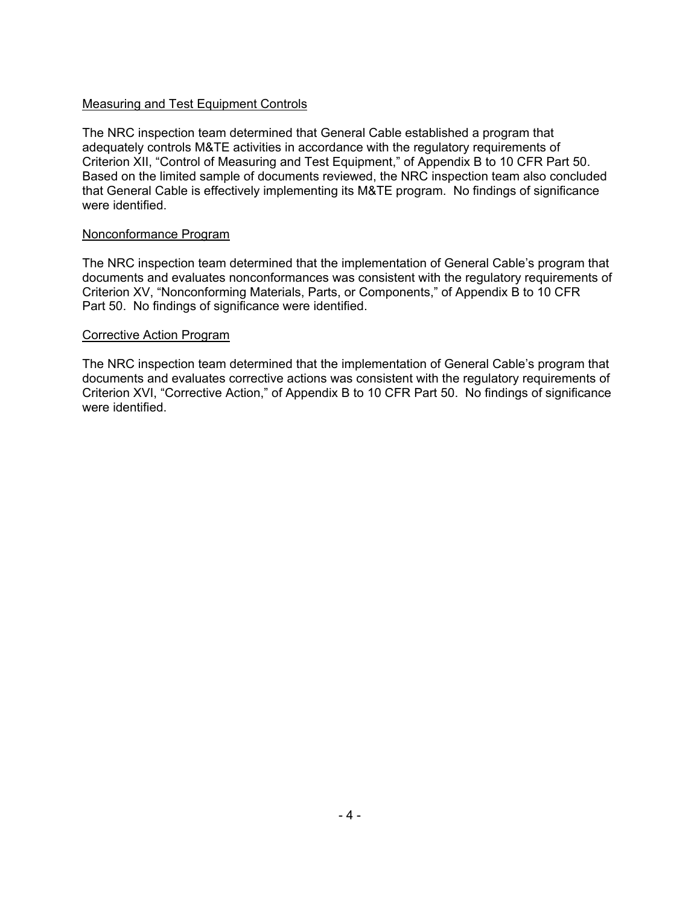### Measuring and Test Equipment Controls

The NRC inspection team determined that General Cable established a program that adequately controls M&TE activities in accordance with the regulatory requirements of Criterion XII, "Control of Measuring and Test Equipment," of Appendix B to 10 CFR Part 50. Based on the limited sample of documents reviewed, the NRC inspection team also concluded that General Cable is effectively implementing its M&TE program. No findings of significance were identified.

### Nonconformance Program

The NRC inspection team determined that the implementation of General Cable's program that documents and evaluates nonconformances was consistent with the regulatory requirements of Criterion XV, "Nonconforming Materials, Parts, or Components," of Appendix B to 10 CFR Part 50. No findings of significance were identified.

#### Corrective Action Program

The NRC inspection team determined that the implementation of General Cable's program that documents and evaluates corrective actions was consistent with the regulatory requirements of Criterion XVI, "Corrective Action," of Appendix B to 10 CFR Part 50. No findings of significance were identified.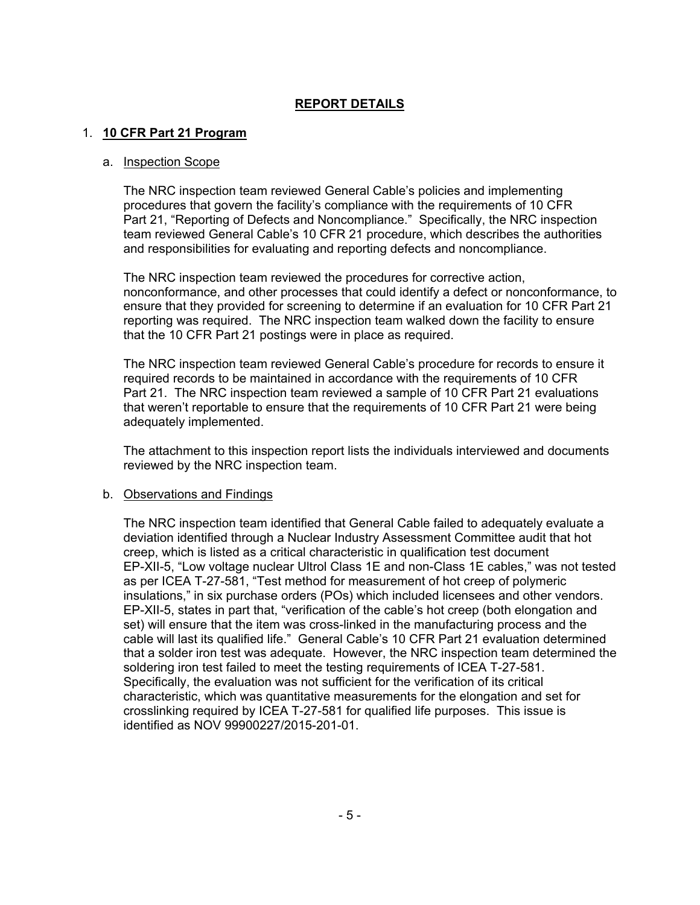## **REPORT DETAILS**

#### 1. **10 CFR Part 21 Program**

#### a. Inspection Scope

The NRC inspection team reviewed General Cable's policies and implementing procedures that govern the facility's compliance with the requirements of 10 CFR Part 21, "Reporting of Defects and Noncompliance." Specifically, the NRC inspection team reviewed General Cable's 10 CFR 21 procedure, which describes the authorities and responsibilities for evaluating and reporting defects and noncompliance.

The NRC inspection team reviewed the procedures for corrective action, nonconformance, and other processes that could identify a defect or nonconformance, to ensure that they provided for screening to determine if an evaluation for 10 CFR Part 21 reporting was required. The NRC inspection team walked down the facility to ensure that the 10 CFR Part 21 postings were in place as required.

The NRC inspection team reviewed General Cable's procedure for records to ensure it required records to be maintained in accordance with the requirements of 10 CFR Part 21. The NRC inspection team reviewed a sample of 10 CFR Part 21 evaluations that weren't reportable to ensure that the requirements of 10 CFR Part 21 were being adequately implemented.

The attachment to this inspection report lists the individuals interviewed and documents reviewed by the NRC inspection team.

#### b. Observations and Findings

The NRC inspection team identified that General Cable failed to adequately evaluate a deviation identified through a Nuclear Industry Assessment Committee audit that hot creep, which is listed as a critical characteristic in qualification test document EP-XII-5, "Low voltage nuclear Ultrol Class 1E and non-Class 1E cables," was not tested as per ICEA T-27-581, "Test method for measurement of hot creep of polymeric insulations," in six purchase orders (POs) which included licensees and other vendors. EP-XII-5, states in part that, "verification of the cable's hot creep (both elongation and set) will ensure that the item was cross-linked in the manufacturing process and the cable will last its qualified life." General Cable's 10 CFR Part 21 evaluation determined that a solder iron test was adequate. However, the NRC inspection team determined the soldering iron test failed to meet the testing requirements of ICEA T-27-581. Specifically, the evaluation was not sufficient for the verification of its critical characteristic, which was quantitative measurements for the elongation and set for crosslinking required by ICEA T-27-581 for qualified life purposes. This issue is identified as NOV 99900227/2015-201-01.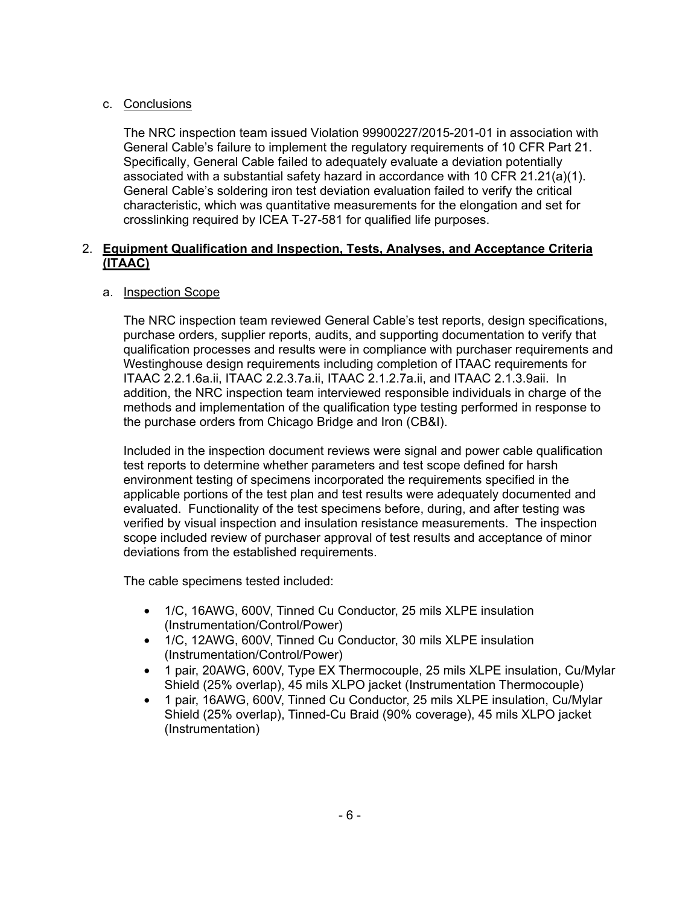## c. Conclusions

The NRC inspection team issued Violation 99900227/2015-201-01 in association with General Cable's failure to implement the regulatory requirements of 10 CFR Part 21. Specifically, General Cable failed to adequately evaluate a deviation potentially associated with a substantial safety hazard in accordance with 10 CFR 21.21(a)(1). General Cable's soldering iron test deviation evaluation failed to verify the critical characteristic, which was quantitative measurements for the elongation and set for crosslinking required by ICEA T-27-581 for qualified life purposes.

### 2. **Equipment Qualification and Inspection, Tests, Analyses, and Acceptance Criteria (ITAAC)**

## a. Inspection Scope

The NRC inspection team reviewed General Cable's test reports, design specifications, purchase orders, supplier reports, audits, and supporting documentation to verify that qualification processes and results were in compliance with purchaser requirements and Westinghouse design requirements including completion of ITAAC requirements for ITAAC 2.2.1.6a.ii, ITAAC 2.2.3.7a.ii, ITAAC 2.1.2.7a.ii, and ITAAC 2.1.3.9aii. In addition, the NRC inspection team interviewed responsible individuals in charge of the methods and implementation of the qualification type testing performed in response to the purchase orders from Chicago Bridge and Iron (CB&I).

Included in the inspection document reviews were signal and power cable qualification test reports to determine whether parameters and test scope defined for harsh environment testing of specimens incorporated the requirements specified in the applicable portions of the test plan and test results were adequately documented and evaluated. Functionality of the test specimens before, during, and after testing was verified by visual inspection and insulation resistance measurements. The inspection scope included review of purchaser approval of test results and acceptance of minor deviations from the established requirements.

The cable specimens tested included:

- 1/C, 16AWG, 600V, Tinned Cu Conductor, 25 mils XLPE insulation (Instrumentation/Control/Power)
- 1/C, 12AWG, 600V, Tinned Cu Conductor, 30 mils XLPE insulation (Instrumentation/Control/Power)
- 1 pair, 20AWG, 600V, Type EX Thermocouple, 25 mils XLPE insulation, Cu/Mylar Shield (25% overlap), 45 mils XLPO jacket (Instrumentation Thermocouple)
- 1 pair, 16AWG, 600V, Tinned Cu Conductor, 25 mils XLPE insulation, Cu/Mylar Shield (25% overlap), Tinned-Cu Braid (90% coverage), 45 mils XLPO jacket (Instrumentation)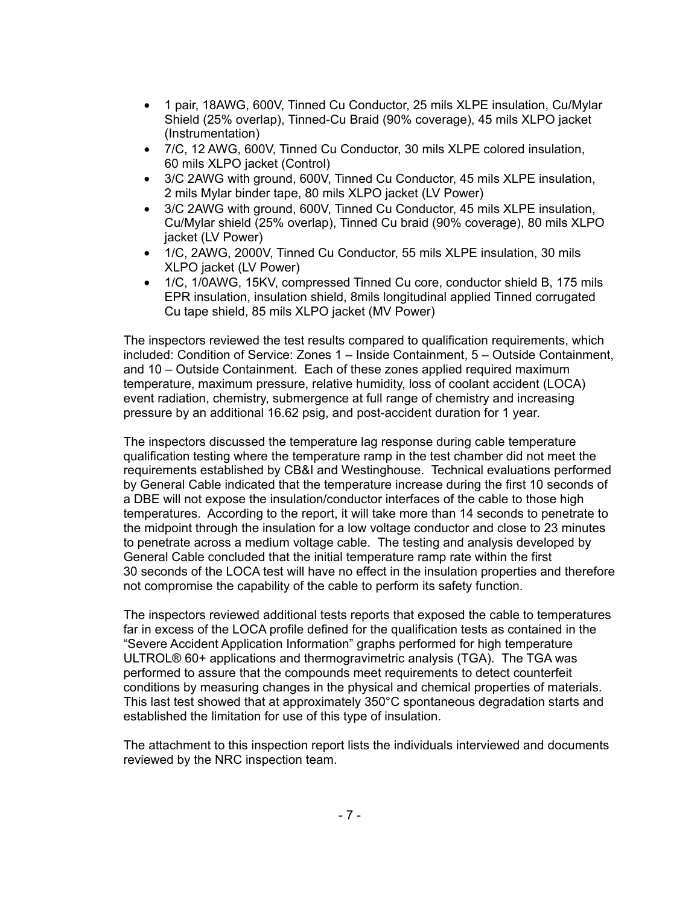- 1 pair, 18AWG, 600V, Tinned Cu Conductor, 25 mils XLPE insulation, Cu/Mylar Shield (25% overlap), Tinned-Cu Braid (90% coverage), 45 mils XLPO jacket (Instrumentation)
- 7/C, 12 AWG, 600V, Tinned Cu Conductor, 30 mils XLPE colored insulation, 60 mils XLPO jacket (Control)
- 3/C 2AWG with ground, 600V, Tinned Cu Conductor, 45 mils XLPE insulation, 2 mils Mylar binder tape, 80 mils XLPO jacket (LV Power)
- 3/C 2AWG with ground, 600V, Tinned Cu Conductor, 45 mils XLPE insulation, Cu/Mylar shield (25% overlap), Tinned Cu braid (90% coverage), 80 mils XLPO jacket (LV Power)
- 1/C, 2AWG, 2000V, Tinned Cu Conductor, 55 mils XLPE insulation, 30 mils XLPO jacket (LV Power)
- 1/C, 1/0AWG, 15KV, compressed Tinned Cu core, conductor shield B, 175 mils EPR insulation, insulation shield, 8mils longitudinal applied Tinned corrugated Cu tape shield, 85 mils XLPO jacket (MV Power)

The inspectors reviewed the test results compared to qualification requirements, which included: Condition of Service: Zones 1 – Inside Containment, 5 – Outside Containment, and 10 – Outside Containment. Each of these zones applied required maximum temperature, maximum pressure, relative humidity, loss of coolant accident (LOCA) event radiation, chemistry, submergence at full range of chemistry and increasing pressure by an additional 16.62 psig, and post-accident duration for 1 year.

The inspectors discussed the temperature lag response during cable temperature qualification testing where the temperature ramp in the test chamber did not meet the requirements established by CB&I and Westinghouse. Technical evaluations performed by General Cable indicated that the temperature increase during the first 10 seconds of a DBE will not expose the insulation/conductor interfaces of the cable to those high temperatures. According to the report, it will take more than 14 seconds to penetrate to the midpoint through the insulation for a low voltage conductor and close to 23 minutes to penetrate across a medium voltage cable. The testing and analysis developed by General Cable concluded that the initial temperature ramp rate within the first 30 seconds of the LOCA test will have no effect in the insulation properties and therefore not compromise the capability of the cable to perform its safety function.

The inspectors reviewed additional tests reports that exposed the cable to temperatures far in excess of the LOCA profile defined for the qualification tests as contained in the "Severe Accident Application Information" graphs performed for high temperature ULTROL® 60+ applications and thermogravimetric analysis (TGA). The TGA was performed to assure that the compounds meet requirements to detect counterfeit conditions by measuring changes in the physical and chemical properties of materials. This last test showed that at approximately 350°C spontaneous degradation starts and established the limitation for use of this type of insulation.

The attachment to this inspection report lists the individuals interviewed and documents reviewed by the NRC inspection team.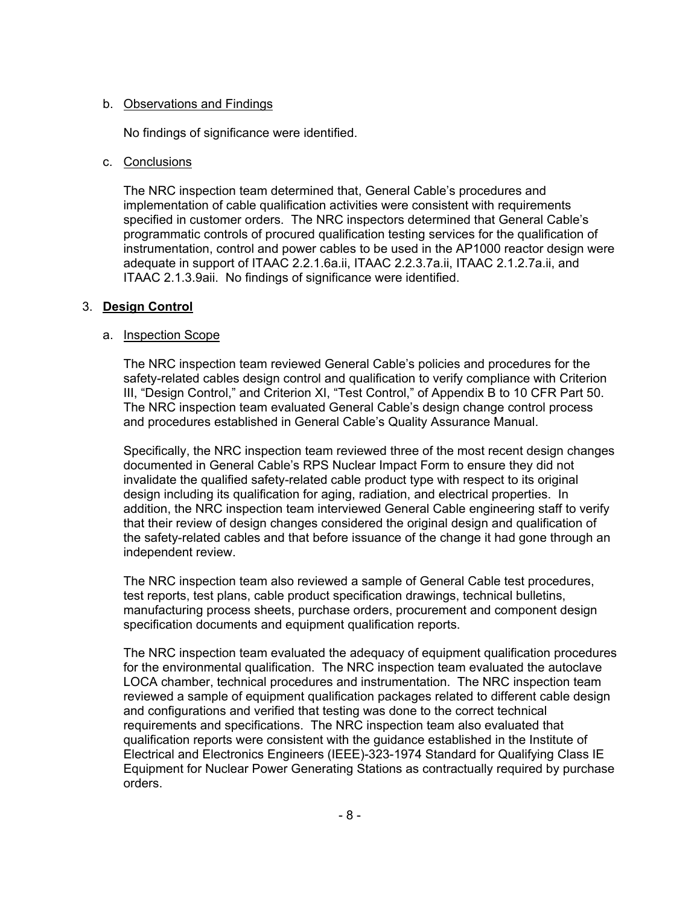### b. Observations and Findings

No findings of significance were identified.

### c. Conclusions

The NRC inspection team determined that, General Cable's procedures and implementation of cable qualification activities were consistent with requirements specified in customer orders. The NRC inspectors determined that General Cable's programmatic controls of procured qualification testing services for the qualification of instrumentation, control and power cables to be used in the AP1000 reactor design were adequate in support of ITAAC 2.2.1.6a.ii, ITAAC 2.2.3.7a.ii, ITAAC 2.1.2.7a.ii, and ITAAC 2.1.3.9aii. No findings of significance were identified.

## 3. **Design Control**

### a. Inspection Scope

The NRC inspection team reviewed General Cable's policies and procedures for the safety-related cables design control and qualification to verify compliance with Criterion III, "Design Control," and Criterion XI, "Test Control," of Appendix B to 10 CFR Part 50. The NRC inspection team evaluated General Cable's design change control process and procedures established in General Cable's Quality Assurance Manual.

Specifically, the NRC inspection team reviewed three of the most recent design changes documented in General Cable's RPS Nuclear Impact Form to ensure they did not invalidate the qualified safety-related cable product type with respect to its original design including its qualification for aging, radiation, and electrical properties. In addition, the NRC inspection team interviewed General Cable engineering staff to verify that their review of design changes considered the original design and qualification of the safety-related cables and that before issuance of the change it had gone through an independent review.

The NRC inspection team also reviewed a sample of General Cable test procedures, test reports, test plans, cable product specification drawings, technical bulletins, manufacturing process sheets, purchase orders, procurement and component design specification documents and equipment qualification reports.

The NRC inspection team evaluated the adequacy of equipment qualification procedures for the environmental qualification. The NRC inspection team evaluated the autoclave LOCA chamber, technical procedures and instrumentation. The NRC inspection team reviewed a sample of equipment qualification packages related to different cable design and configurations and verified that testing was done to the correct technical requirements and specifications. The NRC inspection team also evaluated that qualification reports were consistent with the guidance established in the Institute of Electrical and Electronics Engineers (IEEE)-323-1974 Standard for Qualifying Class IE Equipment for Nuclear Power Generating Stations as contractually required by purchase orders.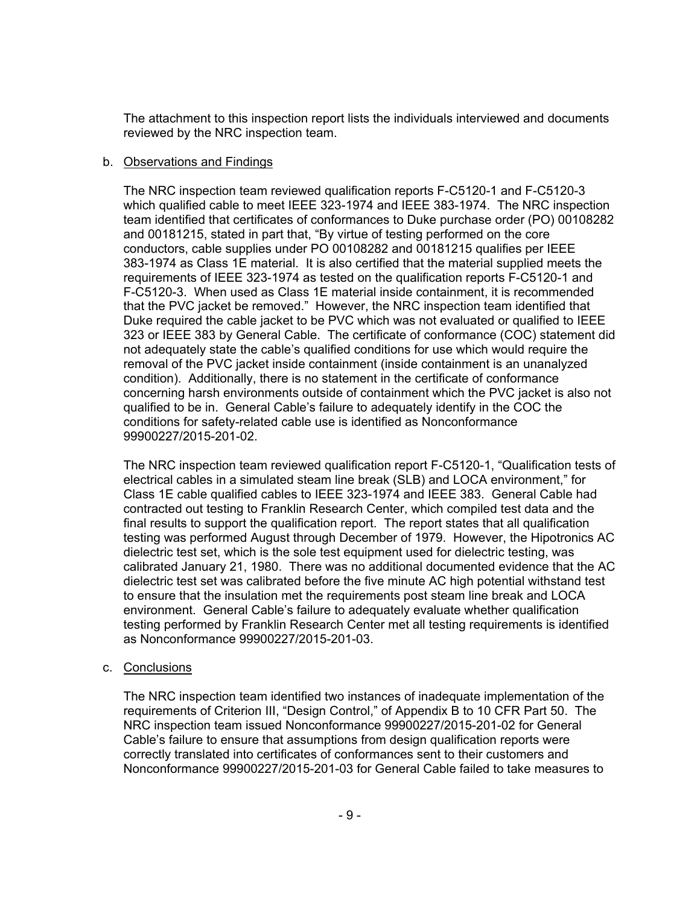The attachment to this inspection report lists the individuals interviewed and documents reviewed by the NRC inspection team.

#### b. Observations and Findings

The NRC inspection team reviewed qualification reports F-C5120-1 and F-C5120-3 which qualified cable to meet IEEE 323-1974 and IEEE 383-1974. The NRC inspection team identified that certificates of conformances to Duke purchase order (PO) 00108282 and 00181215, stated in part that, "By virtue of testing performed on the core conductors, cable supplies under PO 00108282 and 00181215 qualifies per IEEE 383-1974 as Class 1E material. It is also certified that the material supplied meets the requirements of IEEE 323-1974 as tested on the qualification reports F-C5120-1 and F-C5120-3. When used as Class 1E material inside containment, it is recommended that the PVC jacket be removed." However, the NRC inspection team identified that Duke required the cable jacket to be PVC which was not evaluated or qualified to IEEE 323 or IEEE 383 by General Cable. The certificate of conformance (COC) statement did not adequately state the cable's qualified conditions for use which would require the removal of the PVC jacket inside containment (inside containment is an unanalyzed condition). Additionally, there is no statement in the certificate of conformance concerning harsh environments outside of containment which the PVC jacket is also not qualified to be in. General Cable's failure to adequately identify in the COC the conditions for safety-related cable use is identified as Nonconformance 99900227/2015-201-02.

The NRC inspection team reviewed qualification report F-C5120-1, "Qualification tests of electrical cables in a simulated steam line break (SLB) and LOCA environment," for Class 1E cable qualified cables to IEEE 323-1974 and IEEE 383. General Cable had contracted out testing to Franklin Research Center, which compiled test data and the final results to support the qualification report. The report states that all qualification testing was performed August through December of 1979. However, the Hipotronics AC dielectric test set, which is the sole test equipment used for dielectric testing, was calibrated January 21, 1980. There was no additional documented evidence that the AC dielectric test set was calibrated before the five minute AC high potential withstand test to ensure that the insulation met the requirements post steam line break and LOCA environment. General Cable's failure to adequately evaluate whether qualification testing performed by Franklin Research Center met all testing requirements is identified as Nonconformance 99900227/2015-201-03.

### c. Conclusions

The NRC inspection team identified two instances of inadequate implementation of the requirements of Criterion III, "Design Control," of Appendix B to 10 CFR Part 50. The NRC inspection team issued Nonconformance 99900227/2015-201-02 for General Cable's failure to ensure that assumptions from design qualification reports were correctly translated into certificates of conformances sent to their customers and Nonconformance 99900227/2015-201-03 for General Cable failed to take measures to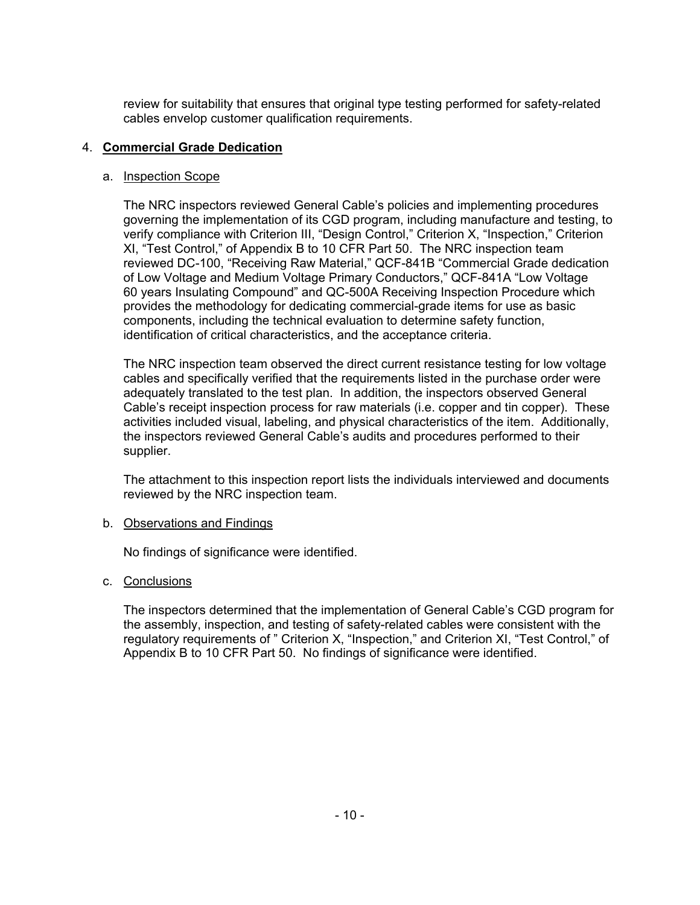review for suitability that ensures that original type testing performed for safety-related cables envelop customer qualification requirements.

## 4. **Commercial Grade Dedication**

### a. Inspection Scope

The NRC inspectors reviewed General Cable's policies and implementing procedures governing the implementation of its CGD program, including manufacture and testing, to verify compliance with Criterion III, "Design Control," Criterion X, "Inspection," Criterion XI, "Test Control," of Appendix B to 10 CFR Part 50. The NRC inspection team reviewed DC-100, "Receiving Raw Material," QCF-841B "Commercial Grade dedication of Low Voltage and Medium Voltage Primary Conductors," QCF-841A "Low Voltage 60 years Insulating Compound" and QC-500A Receiving Inspection Procedure which provides the methodology for dedicating commercial-grade items for use as basic components, including the technical evaluation to determine safety function, identification of critical characteristics, and the acceptance criteria.

The NRC inspection team observed the direct current resistance testing for low voltage cables and specifically verified that the requirements listed in the purchase order were adequately translated to the test plan. In addition, the inspectors observed General Cable's receipt inspection process for raw materials (i.e. copper and tin copper). These activities included visual, labeling, and physical characteristics of the item. Additionally, the inspectors reviewed General Cable's audits and procedures performed to their supplier.

The attachment to this inspection report lists the individuals interviewed and documents reviewed by the NRC inspection team.

### b. Observations and Findings

No findings of significance were identified.

### c. Conclusions

The inspectors determined that the implementation of General Cable's CGD program for the assembly, inspection, and testing of safety-related cables were consistent with the regulatory requirements of " Criterion X, "Inspection," and Criterion XI, "Test Control," of Appendix B to 10 CFR Part 50. No findings of significance were identified.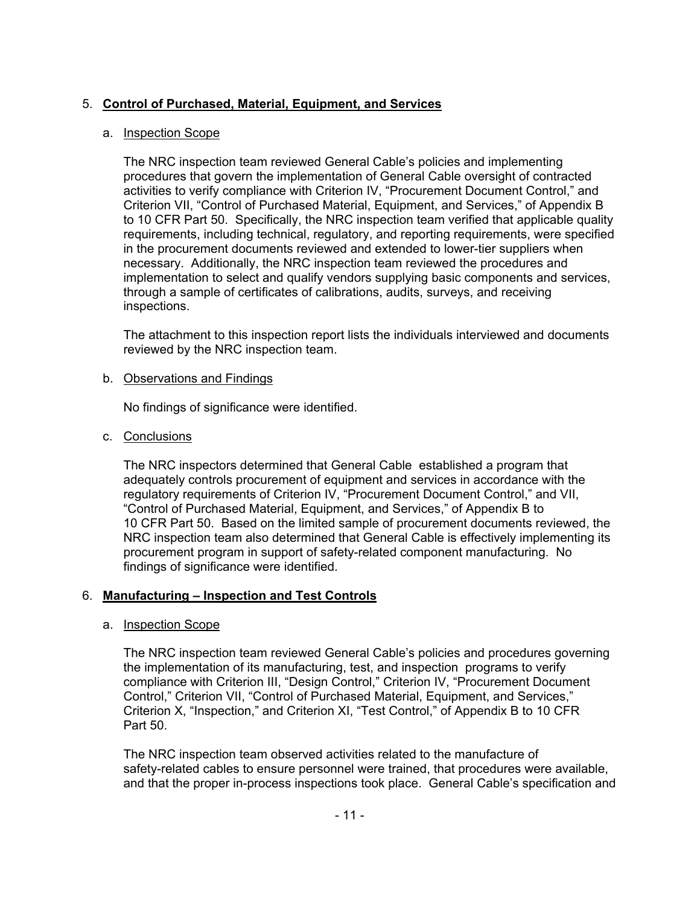## 5. **Control of Purchased, Material, Equipment, and Services**

### a. Inspection Scope

The NRC inspection team reviewed General Cable's policies and implementing procedures that govern the implementation of General Cable oversight of contracted activities to verify compliance with Criterion IV, "Procurement Document Control," and Criterion VII, "Control of Purchased Material, Equipment, and Services," of Appendix B to 10 CFR Part 50. Specifically, the NRC inspection team verified that applicable quality requirements, including technical, regulatory, and reporting requirements, were specified in the procurement documents reviewed and extended to lower-tier suppliers when necessary. Additionally, the NRC inspection team reviewed the procedures and implementation to select and qualify vendors supplying basic components and services, through a sample of certificates of calibrations, audits, surveys, and receiving inspections.

The attachment to this inspection report lists the individuals interviewed and documents reviewed by the NRC inspection team.

#### b. Observations and Findings

No findings of significance were identified.

c. Conclusions

The NRC inspectors determined that General Cable established a program that adequately controls procurement of equipment and services in accordance with the regulatory requirements of Criterion IV, "Procurement Document Control," and VII, "Control of Purchased Material, Equipment, and Services," of Appendix B to 10 CFR Part 50. Based on the limited sample of procurement documents reviewed, the NRC inspection team also determined that General Cable is effectively implementing its procurement program in support of safety-related component manufacturing. No findings of significance were identified.

### 6. **Manufacturing – Inspection and Test Controls**

### a. Inspection Scope

The NRC inspection team reviewed General Cable's policies and procedures governing the implementation of its manufacturing, test, and inspection programs to verify compliance with Criterion III, "Design Control," Criterion IV, "Procurement Document Control," Criterion VII, "Control of Purchased Material, Equipment, and Services," Criterion X, "Inspection," and Criterion XI, "Test Control," of Appendix B to 10 CFR Part 50.

The NRC inspection team observed activities related to the manufacture of safety-related cables to ensure personnel were trained, that procedures were available, and that the proper in-process inspections took place. General Cable's specification and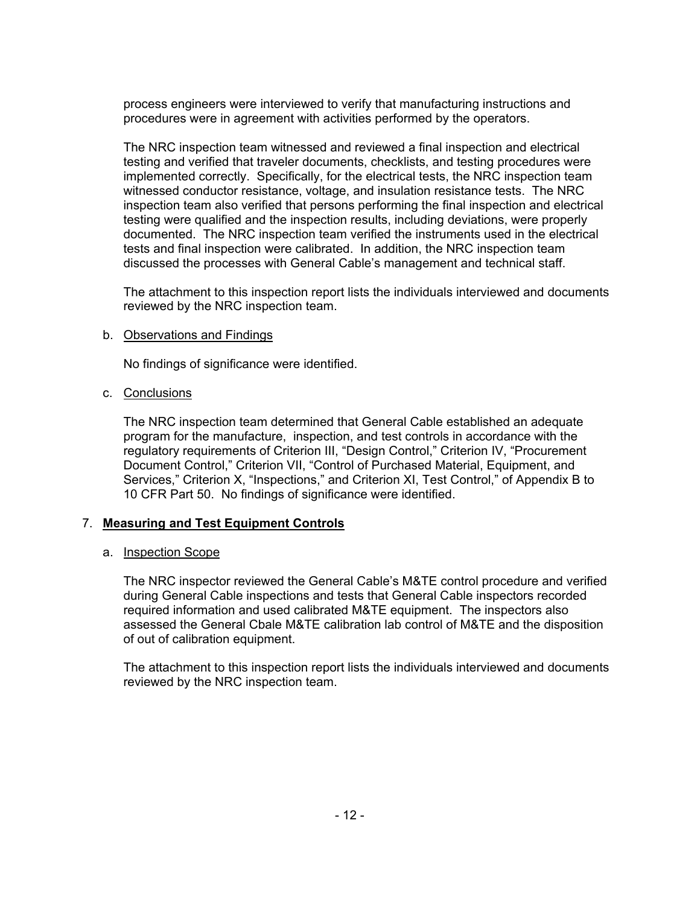process engineers were interviewed to verify that manufacturing instructions and procedures were in agreement with activities performed by the operators.

The NRC inspection team witnessed and reviewed a final inspection and electrical testing and verified that traveler documents, checklists, and testing procedures were implemented correctly. Specifically, for the electrical tests, the NRC inspection team witnessed conductor resistance, voltage, and insulation resistance tests. The NRC inspection team also verified that persons performing the final inspection and electrical testing were qualified and the inspection results, including deviations, were properly documented. The NRC inspection team verified the instruments used in the electrical tests and final inspection were calibrated. In addition, the NRC inspection team discussed the processes with General Cable's management and technical staff.

The attachment to this inspection report lists the individuals interviewed and documents reviewed by the NRC inspection team.

#### b. Observations and Findings

No findings of significance were identified.

#### c. Conclusions

The NRC inspection team determined that General Cable established an adequate program for the manufacture, inspection, and test controls in accordance with the regulatory requirements of Criterion III, "Design Control," Criterion IV, "Procurement Document Control," Criterion VII, "Control of Purchased Material, Equipment, and Services," Criterion X, "Inspections," and Criterion XI, Test Control," of Appendix B to 10 CFR Part 50. No findings of significance were identified.

### 7. **Measuring and Test Equipment Controls**

#### a. Inspection Scope

The NRC inspector reviewed the General Cable's M&TE control procedure and verified during General Cable inspections and tests that General Cable inspectors recorded required information and used calibrated M&TE equipment. The inspectors also assessed the General Cbale M&TE calibration lab control of M&TE and the disposition of out of calibration equipment.

The attachment to this inspection report lists the individuals interviewed and documents reviewed by the NRC inspection team.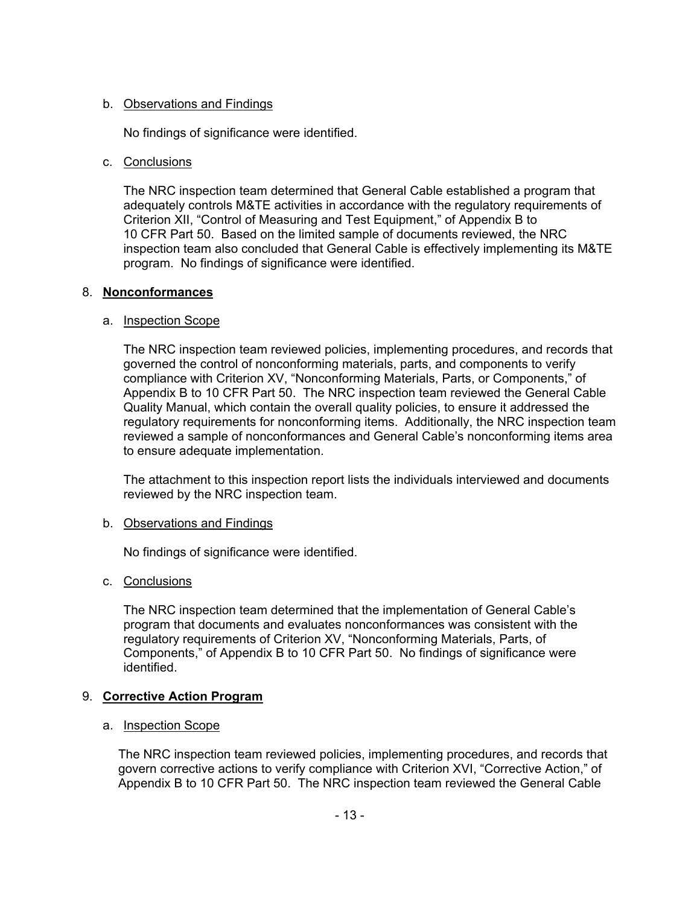### b. Observations and Findings

No findings of significance were identified.

### c. Conclusions

The NRC inspection team determined that General Cable established a program that adequately controls M&TE activities in accordance with the regulatory requirements of Criterion XII, "Control of Measuring and Test Equipment," of Appendix B to 10 CFR Part 50. Based on the limited sample of documents reviewed, the NRC inspection team also concluded that General Cable is effectively implementing its M&TE program. No findings of significance were identified.

### 8. **Nonconformances**

#### a. Inspection Scope

The NRC inspection team reviewed policies, implementing procedures, and records that governed the control of nonconforming materials, parts, and components to verify compliance with Criterion XV, "Nonconforming Materials, Parts, or Components," of Appendix B to 10 CFR Part 50. The NRC inspection team reviewed the General Cable Quality Manual, which contain the overall quality policies, to ensure it addressed the regulatory requirements for nonconforming items. Additionally, the NRC inspection team reviewed a sample of nonconformances and General Cable's nonconforming items area to ensure adequate implementation.

The attachment to this inspection report lists the individuals interviewed and documents reviewed by the NRC inspection team.

### b. Observations and Findings

No findings of significance were identified.

### c. Conclusions

The NRC inspection team determined that the implementation of General Cable's program that documents and evaluates nonconformances was consistent with the regulatory requirements of Criterion XV, "Nonconforming Materials, Parts, of Components," of Appendix B to 10 CFR Part 50. No findings of significance were identified.

### 9. **Corrective Action Program**

#### a. Inspection Scope

The NRC inspection team reviewed policies, implementing procedures, and records that govern corrective actions to verify compliance with Criterion XVI, "Corrective Action," of Appendix B to 10 CFR Part 50. The NRC inspection team reviewed the General Cable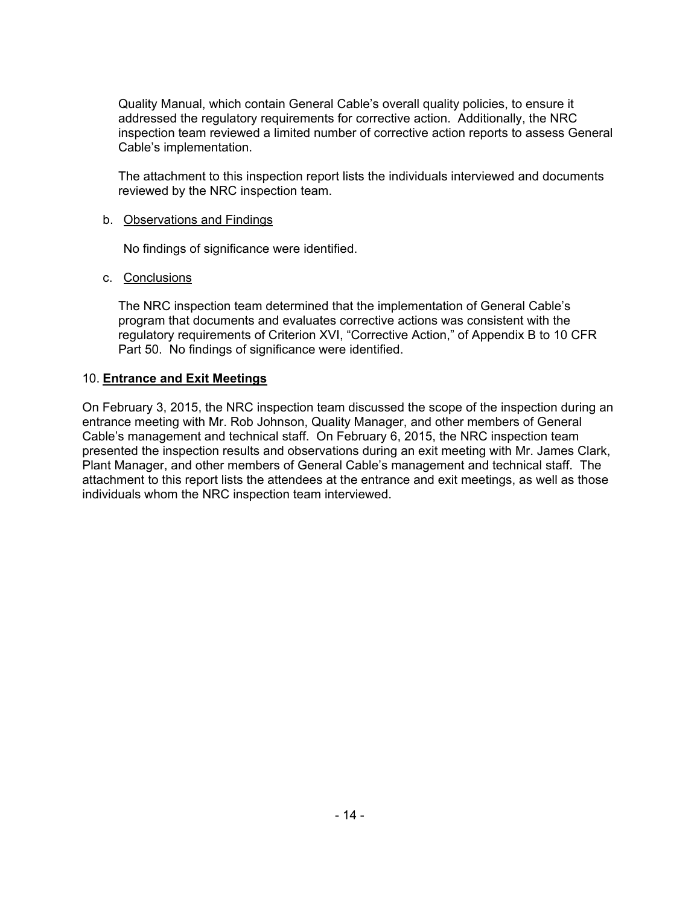Quality Manual, which contain General Cable's overall quality policies, to ensure it addressed the regulatory requirements for corrective action. Additionally, the NRC inspection team reviewed a limited number of corrective action reports to assess General Cable's implementation.

The attachment to this inspection report lists the individuals interviewed and documents reviewed by the NRC inspection team.

#### b. Observations and Findings

No findings of significance were identified.

#### c. Conclusions

The NRC inspection team determined that the implementation of General Cable's program that documents and evaluates corrective actions was consistent with the regulatory requirements of Criterion XVI, "Corrective Action," of Appendix B to 10 CFR Part 50. No findings of significance were identified.

#### 10. **Entrance and Exit Meetings**

On February 3, 2015, the NRC inspection team discussed the scope of the inspection during an entrance meeting with Mr. Rob Johnson, Quality Manager, and other members of General Cable's management and technical staff. On February 6, 2015, the NRC inspection team presented the inspection results and observations during an exit meeting with Mr. James Clark, Plant Manager, and other members of General Cable's management and technical staff. The attachment to this report lists the attendees at the entrance and exit meetings, as well as those individuals whom the NRC inspection team interviewed.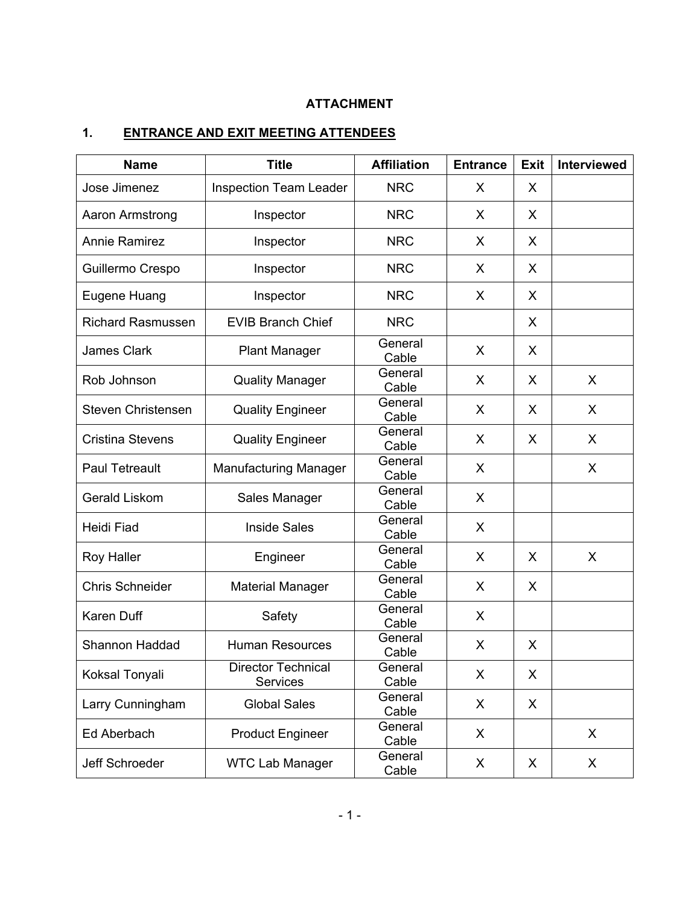# **ATTACHMENT**

# **1. ENTRANCE AND EXIT MEETING ATTENDEES**

| <b>Name</b>                                                    | <b>Title</b>                  | <b>Affiliation</b> | <b>Entrance</b> | <b>Exit</b> | <b>Interviewed</b> |
|----------------------------------------------------------------|-------------------------------|--------------------|-----------------|-------------|--------------------|
| Jose Jimenez                                                   | <b>Inspection Team Leader</b> | <b>NRC</b>         | X               | X           |                    |
| Aaron Armstrong<br>Inspector                                   |                               | <b>NRC</b>         | X               | X           |                    |
| <b>Annie Ramirez</b>                                           | Inspector                     | <b>NRC</b>         | X               | X           |                    |
| Guillermo Crespo                                               | Inspector                     | <b>NRC</b>         | X               | X           |                    |
| Eugene Huang                                                   | Inspector                     | <b>NRC</b>         | X               | X           |                    |
| <b>Richard Rasmussen</b>                                       | <b>EVIB Branch Chief</b>      | <b>NRC</b>         |                 | X           |                    |
| <b>James Clark</b>                                             | <b>Plant Manager</b>          | General<br>Cable   | X               | X           |                    |
| Rob Johnson                                                    | <b>Quality Manager</b>        | General<br>Cable   | X               | X           | X                  |
| <b>Steven Christensen</b>                                      | <b>Quality Engineer</b>       | General<br>Cable   | X               | X           | X                  |
| <b>Cristina Stevens</b>                                        | <b>Quality Engineer</b>       | General<br>Cable   | X               | X           | X                  |
| <b>Paul Tetreault</b>                                          | <b>Manufacturing Manager</b>  | General<br>Cable   | X               |             | X                  |
| Gerald Liskom                                                  | Sales Manager                 | General<br>Cable   | X               |             |                    |
| Heidi Fiad                                                     | <b>Inside Sales</b>           | General<br>Cable   | X               |             |                    |
| <b>Roy Haller</b>                                              | Engineer                      | General<br>Cable   | X               | X           | X                  |
| <b>Chris Schneider</b>                                         | <b>Material Manager</b>       | General<br>Cable   | X               | X           |                    |
| <b>Karen Duff</b>                                              | Safety                        | General<br>Cable   | X               |             |                    |
| Shannon Haddad                                                 | <b>Human Resources</b>        | General<br>Cable   | X               | X           |                    |
| <b>Director Technical</b><br>Koksal Tonyali<br><b>Services</b> |                               | General<br>Cable   | X               | X           |                    |
| Larry Cunningham                                               | <b>Global Sales</b>           | General<br>Cable   | X               | X           |                    |
| Ed Aberbach                                                    | <b>Product Engineer</b>       | General<br>Cable   | X               |             | X.                 |
| Jeff Schroeder                                                 | <b>WTC Lab Manager</b>        | General<br>Cable   | X               | X           | X                  |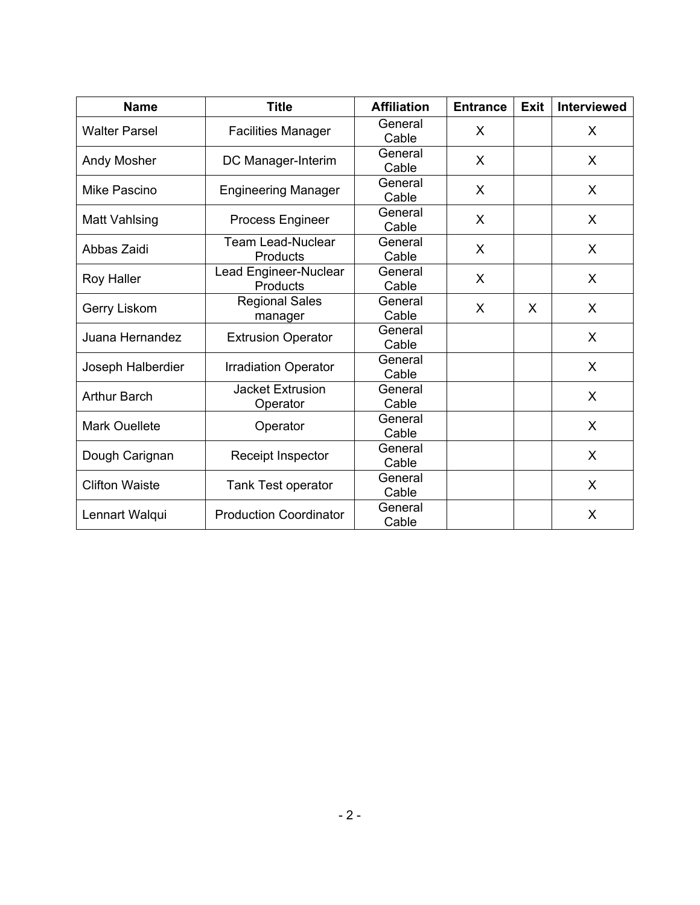| <b>Name</b>           | <b>Title</b>                         | <b>Affiliation</b> | <b>Entrance</b> | <b>Exit</b> | <b>Interviewed</b> |
|-----------------------|--------------------------------------|--------------------|-----------------|-------------|--------------------|
| <b>Walter Parsel</b>  | <b>Facilities Manager</b>            | General<br>Cable   | X               |             | X                  |
| Andy Mosher           | DC Manager-Interim                   | General<br>Cable   | X               |             | X                  |
| Mike Pascino          | <b>Engineering Manager</b>           | General<br>Cable   | X               |             | X                  |
| Matt Vahlsing         | <b>Process Engineer</b>              | General<br>Cable   | X               |             | X                  |
| Abbas Zaidi           | <b>Team Lead-Nuclear</b><br>Products | General<br>Cable   | X               |             | X                  |
| <b>Roy Haller</b>     | Lead Engineer-Nuclear<br>Products    | General<br>Cable   | X               |             | X                  |
| Gerry Liskom          | <b>Regional Sales</b><br>manager     | General<br>Cable   | X               | X           | X                  |
| Juana Hernandez       | <b>Extrusion Operator</b>            | General<br>Cable   |                 |             | X                  |
| Joseph Halberdier     | <b>Irradiation Operator</b>          | General<br>Cable   |                 |             | X                  |
| <b>Arthur Barch</b>   | <b>Jacket Extrusion</b><br>Operator  | General<br>Cable   |                 |             | X                  |
| <b>Mark Ouellete</b>  | Operator                             | General<br>Cable   |                 |             | X                  |
| Dough Carignan        | Receipt Inspector                    | General<br>Cable   |                 |             | X                  |
| <b>Clifton Waiste</b> | <b>Tank Test operator</b>            | General<br>Cable   |                 |             | X                  |
| Lennart Walqui        | <b>Production Coordinator</b>        | General<br>Cable   |                 |             | X                  |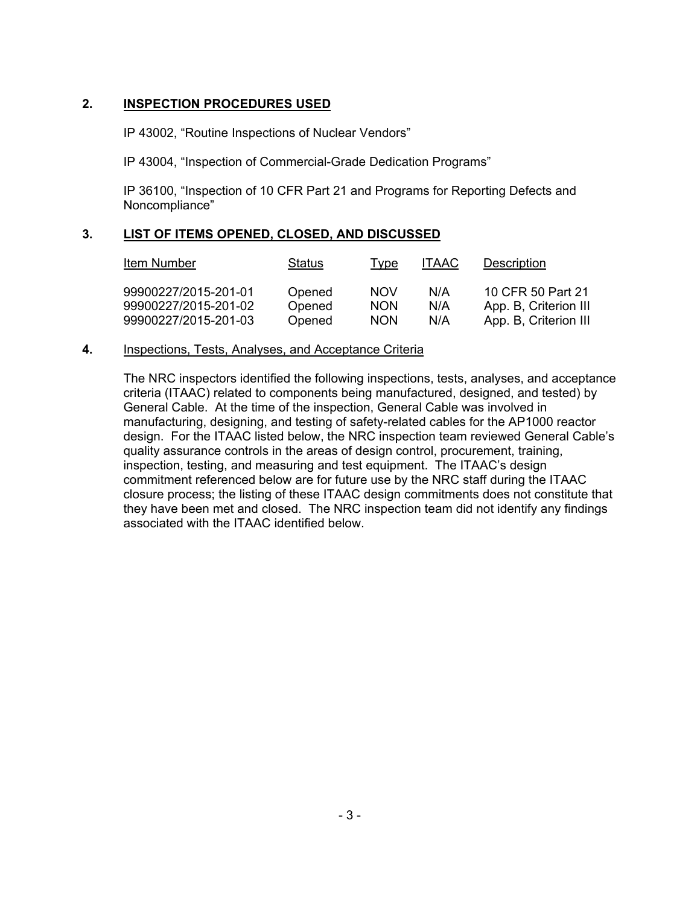### **2. INSPECTION PROCEDURES USED**

IP 43002, "Routine Inspections of Nuclear Vendors"

IP 43004, "Inspection of Commercial-Grade Dedication Programs"

IP 36100, "Inspection of 10 CFR Part 21 and Programs for Reporting Defects and Noncompliance"

## **3. LIST OF ITEMS OPENED, CLOSED, AND DISCUSSED**

| Item Number                                  | <b>Status</b>    | Type                     | <b>ITAAC</b> | Description                                |
|----------------------------------------------|------------------|--------------------------|--------------|--------------------------------------------|
| 99900227/2015-201-01<br>99900227/2015-201-02 | Opened<br>Opened | <b>NOV</b><br><b>NON</b> | N/A<br>N/A   | 10 CFR 50 Part 21<br>App. B, Criterion III |
| 99900227/2015-201-03                         | Opened           | <b>NON</b>               | N/A          | App. B, Criterion III                      |

#### **4.** Inspections, Tests, Analyses, and Acceptance Criteria

The NRC inspectors identified the following inspections, tests, analyses, and acceptance criteria (ITAAC) related to components being manufactured, designed, and tested) by General Cable. At the time of the inspection, General Cable was involved in manufacturing, designing, and testing of safety-related cables for the AP1000 reactor design. For the ITAAC listed below, the NRC inspection team reviewed General Cable's quality assurance controls in the areas of design control, procurement, training, inspection, testing, and measuring and test equipment. The ITAAC's design commitment referenced below are for future use by the NRC staff during the ITAAC closure process; the listing of these ITAAC design commitments does not constitute that they have been met and closed. The NRC inspection team did not identify any findings associated with the ITAAC identified below.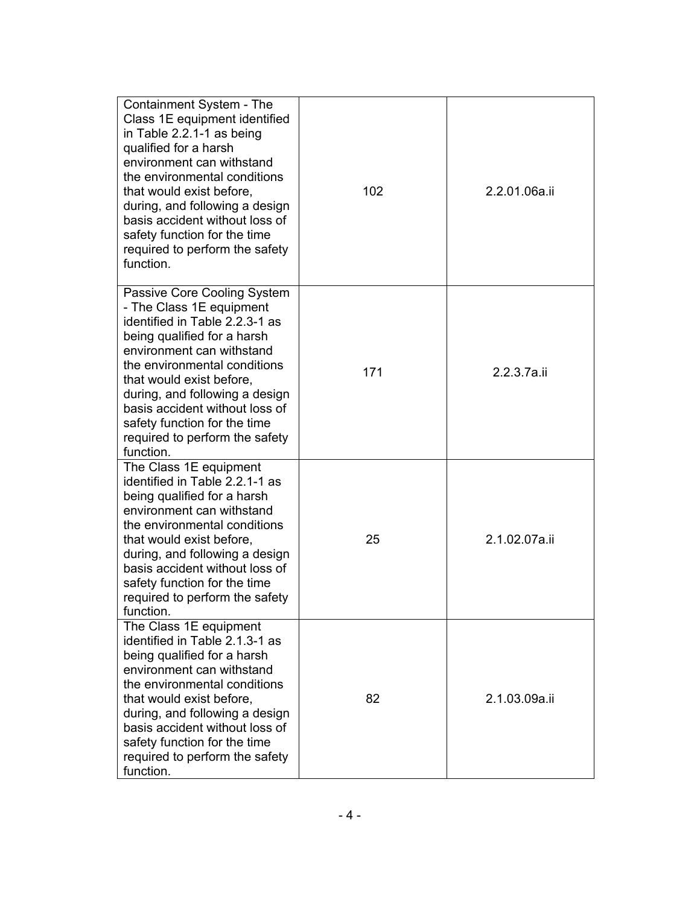| Containment System - The<br>Class 1E equipment identified<br>in Table 2.2.1-1 as being<br>qualified for a harsh<br>environment can withstand<br>the environmental conditions<br>that would exist before,<br>during, and following a design<br>basis accident without loss of<br>safety function for the time<br>required to perform the safety<br>function.          | 102 | 2.2.01.06a.ii |
|----------------------------------------------------------------------------------------------------------------------------------------------------------------------------------------------------------------------------------------------------------------------------------------------------------------------------------------------------------------------|-----|---------------|
| Passive Core Cooling System<br>- The Class 1E equipment<br>identified in Table 2.2.3-1 as<br>being qualified for a harsh<br>environment can withstand<br>the environmental conditions<br>that would exist before,<br>during, and following a design<br>basis accident without loss of<br>safety function for the time<br>required to perform the safety<br>function. | 171 | 2.2.3.7a.ii   |
| The Class 1E equipment<br>identified in Table 2.2.1-1 as<br>being qualified for a harsh<br>environment can withstand<br>the environmental conditions<br>that would exist before,<br>during, and following a design<br>basis accident without loss of<br>safety function for the time<br>required to perform the safety<br>function.                                  | 25  | 2.1.02.07a.ii |
| The Class 1E equipment<br>identified in Table 2.1.3-1 as<br>being qualified for a harsh<br>environment can withstand<br>the environmental conditions<br>that would exist before,<br>during, and following a design<br>basis accident without loss of<br>safety function for the time<br>required to perform the safety<br>function.                                  | 82  | 2.1.03.09a.ii |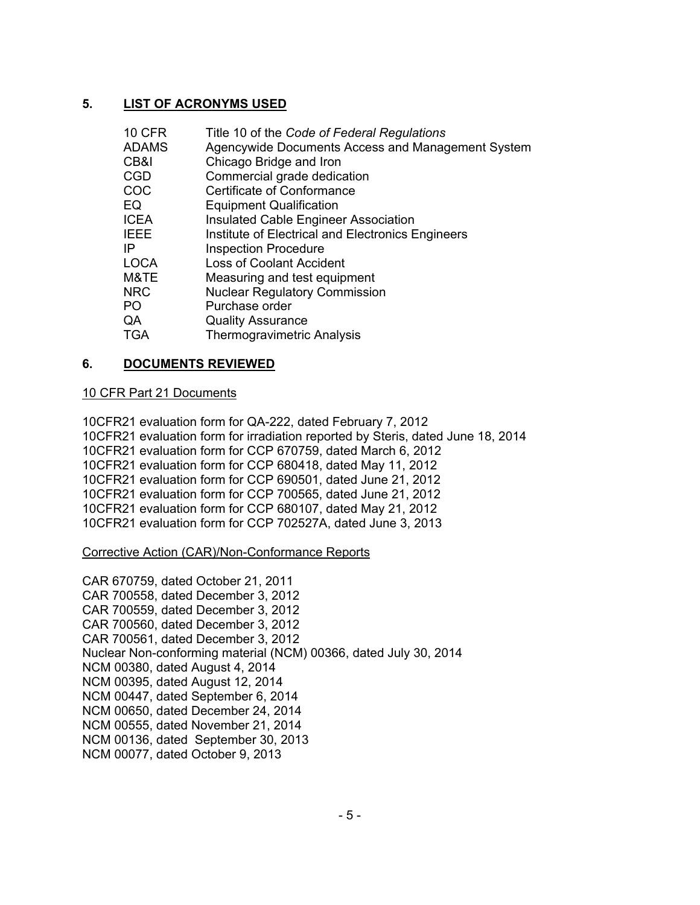## **5. LIST OF ACRONYMS USED**

| <b>10 CFR</b> | Title 10 of the Code of Federal Regulations       |
|---------------|---------------------------------------------------|
| <b>ADAMS</b>  | Agencywide Documents Access and Management System |
| CB&I          | Chicago Bridge and Iron                           |
| <b>CGD</b>    | Commercial grade dedication                       |
| COC           | <b>Certificate of Conformance</b>                 |
| EQ            | <b>Equipment Qualification</b>                    |
| <b>ICEA</b>   | <b>Insulated Cable Engineer Association</b>       |
| <b>IEEE</b>   | Institute of Electrical and Electronics Engineers |
| IP            | <b>Inspection Procedure</b>                       |
| <b>LOCA</b>   | <b>Loss of Coolant Accident</b>                   |
| M&TE          | Measuring and test equipment                      |
| <b>NRC</b>    | <b>Nuclear Regulatory Commission</b>              |
| PO            | Purchase order                                    |
| QA            | <b>Quality Assurance</b>                          |
| <b>TGA</b>    | <b>Thermogravimetric Analysis</b>                 |

### **6. DOCUMENTS REVIEWED**

#### 10 CFR Part 21 Documents

10CFR21 evaluation form for QA-222, dated February 7, 2012 10CFR21 evaluation form for irradiation reported by Steris, dated June 18, 2014 10CFR21 evaluation form for CCP 670759, dated March 6, 2012 10CFR21 evaluation form for CCP 680418, dated May 11, 2012 10CFR21 evaluation form for CCP 690501, dated June 21, 2012 10CFR21 evaluation form for CCP 700565, dated June 21, 2012 10CFR21 evaluation form for CCP 680107, dated May 21, 2012 10CFR21 evaluation form for CCP 702527A, dated June 3, 2013

#### Corrective Action (CAR)/Non-Conformance Reports

CAR 670759, dated October 21, 2011 CAR 700558, dated December 3, 2012 CAR 700559, dated December 3, 2012 CAR 700560, dated December 3, 2012 CAR 700561, dated December 3, 2012 Nuclear Non-conforming material (NCM) 00366, dated July 30, 2014 NCM 00380, dated August 4, 2014 NCM 00395, dated August 12, 2014 NCM 00447, dated September 6, 2014 NCM 00650, dated December 24, 2014 NCM 00555, dated November 21, 2014 NCM 00136, dated September 30, 2013 NCM 00077, dated October 9, 2013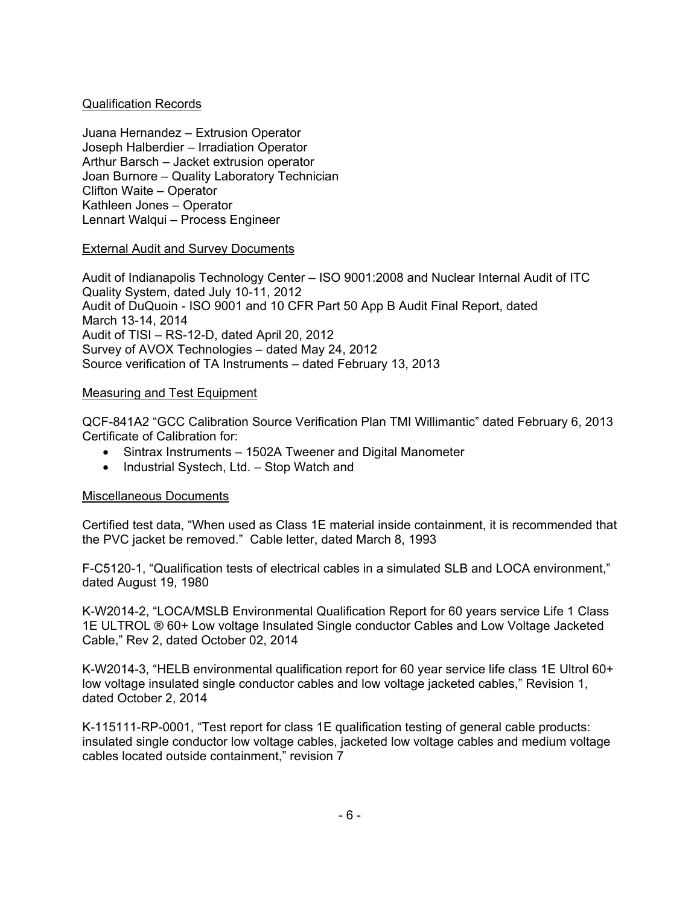### Qualification Records

Juana Hernandez – Extrusion Operator Joseph Halberdier – Irradiation Operator Arthur Barsch – Jacket extrusion operator Joan Burnore – Quality Laboratory Technician Clifton Waite – Operator Kathleen Jones – Operator Lennart Walqui – Process Engineer

### External Audit and Survey Documents

Audit of Indianapolis Technology Center – ISO 9001:2008 and Nuclear Internal Audit of ITC Quality System, dated July 10-11, 2012 Audit of DuQuoin - ISO 9001 and 10 CFR Part 50 App B Audit Final Report, dated March 13-14, 2014 Audit of TISI – RS-12-D, dated April 20, 2012 Survey of AVOX Technologies – dated May 24, 2012 Source verification of TA Instruments – dated February 13, 2013

#### Measuring and Test Equipment

QCF-841A2 "GCC Calibration Source Verification Plan TMI Willimantic" dated February 6, 2013 Certificate of Calibration for:

- Sintrax Instruments 1502A Tweener and Digital Manometer
- Industrial Systech, Ltd. Stop Watch and

### Miscellaneous Documents

Certified test data, "When used as Class 1E material inside containment, it is recommended that the PVC jacket be removed." Cable letter, dated March 8, 1993

F-C5120-1, "Qualification tests of electrical cables in a simulated SLB and LOCA environment," dated August 19, 1980

K-W2014-2, "LOCA/MSLB Environmental Qualification Report for 60 years service Life 1 Class 1E ULTROL ® 60+ Low voltage Insulated Single conductor Cables and Low Voltage Jacketed Cable," Rev 2, dated October 02, 2014

K-W2014-3, "HELB environmental qualification report for 60 year service life class 1E Ultrol 60+ low voltage insulated single conductor cables and low voltage jacketed cables," Revision 1, dated October 2, 2014

K-115111-RP-0001, "Test report for class 1E qualification testing of general cable products: insulated single conductor low voltage cables, jacketed low voltage cables and medium voltage cables located outside containment," revision 7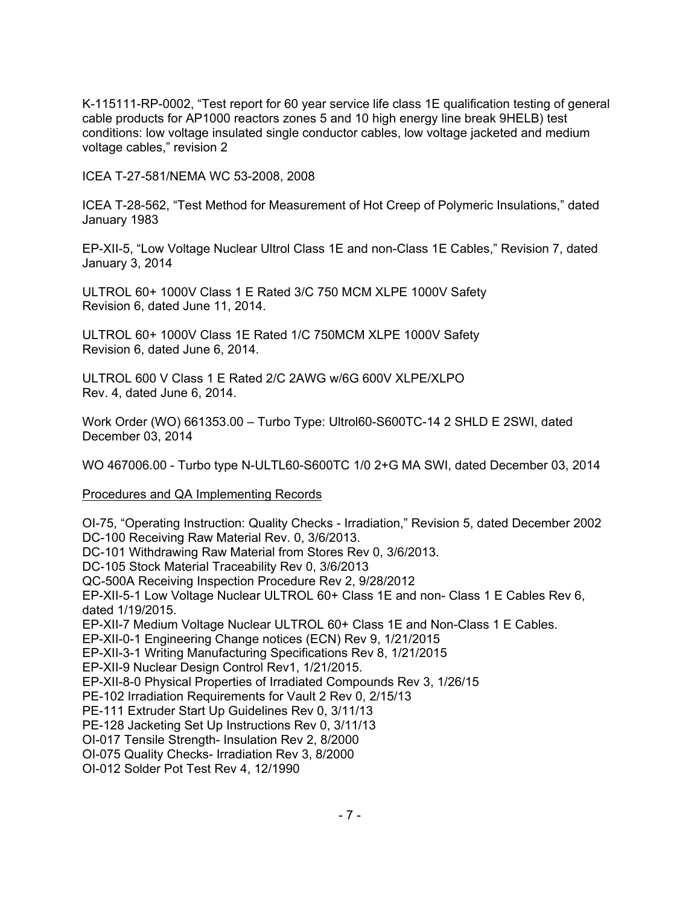K-115111-RP-0002, "Test report for 60 year service life class 1E qualification testing of general cable products for AP1000 reactors zones 5 and 10 high energy line break 9HELB) test conditions: low voltage insulated single conductor cables, low voltage jacketed and medium voltage cables," revision 2

ICEA T-27-581/NEMA WC 53-2008, 2008

ICEA T-28-562, "Test Method for Measurement of Hot Creep of Polymeric Insulations," dated January 1983

EP-XII-5, "Low Voltage Nuclear Ultrol Class 1E and non-Class 1E Cables," Revision 7, dated January 3, 2014

ULTROL 60+ 1000V Class 1 E Rated 3/C 750 MCM XLPE 1000V Safety Revision 6, dated June 11, 2014.

ULTROL 60+ 1000V Class 1E Rated 1/C 750MCM XLPE 1000V Safety Revision 6, dated June 6, 2014.

ULTROL 600 V Class 1 E Rated 2/C 2AWG w/6G 600V XLPE/XLPO Rev. 4, dated June 6, 2014.

Work Order (WO) 661353.00 – Turbo Type: Ultrol60-S600TC-14 2 SHLD E 2SWI, dated December 03, 2014

WO 467006.00 - Turbo type N-ULTL60-S600TC 1/0 2+G MA SWI, dated December 03, 2014

Procedures and QA Implementing Records

OI-75, "Operating Instruction: Quality Checks - Irradiation," Revision 5, dated December 2002 DC-100 Receiving Raw Material Rev. 0, 3/6/2013. DC-101 Withdrawing Raw Material from Stores Rev 0, 3/6/2013. DC-105 Stock Material Traceability Rev 0, 3/6/2013 QC-500A Receiving Inspection Procedure Rev 2, 9/28/2012 EP-XII-5-1 Low Voltage Nuclear ULTROL 60+ Class 1E and non- Class 1 E Cables Rev 6, dated 1/19/2015. EP-XII-7 Medium Voltage Nuclear ULTROL 60+ Class 1E and Non-Class 1 E Cables. EP-XII-0-1 Engineering Change notices (ECN) Rev 9, 1/21/2015 EP-XII-3-1 Writing Manufacturing Specifications Rev 8, 1/21/2015 EP-XII-9 Nuclear Design Control Rev1, 1/21/2015. EP-XII-8-0 Physical Properties of Irradiated Compounds Rev 3, 1/26/15 PE-102 Irradiation Requirements for Vault 2 Rev 0, 2/15/13 PE-111 Extruder Start Up Guidelines Rev 0, 3/11/13 PE-128 Jacketing Set Up Instructions Rev 0, 3/11/13 OI-017 Tensile Strength- Insulation Rev 2, 8/2000 OI-075 Quality Checks- Irradiation Rev 3, 8/2000 OI-012 Solder Pot Test Rev 4, 12/1990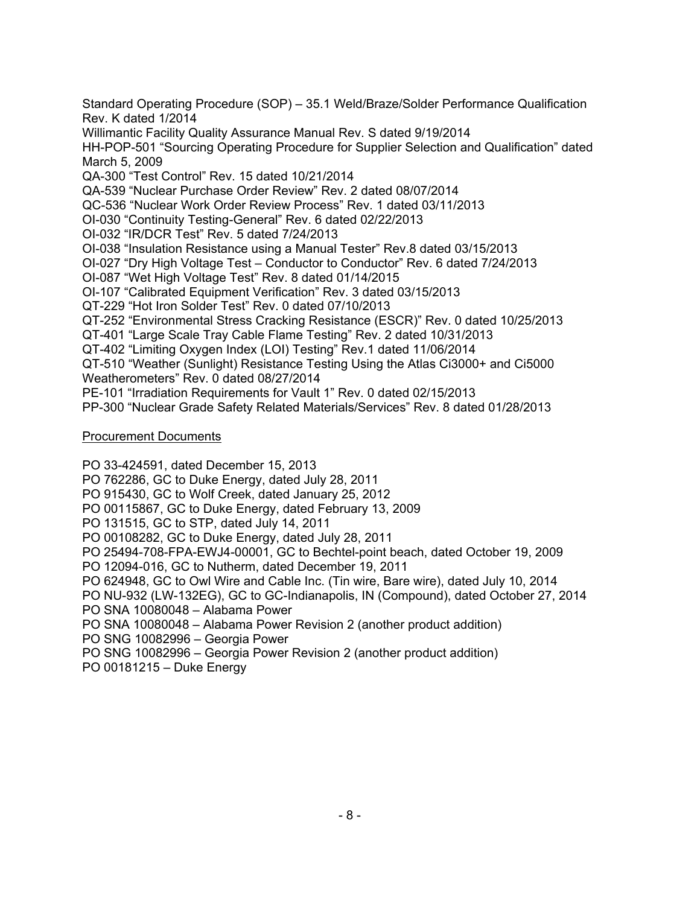Standard Operating Procedure (SOP) – 35.1 Weld/Braze/Solder Performance Qualification Rev. K dated 1/2014 Willimantic Facility Quality Assurance Manual Rev. S dated 9/19/2014 HH-POP-501 "Sourcing Operating Procedure for Supplier Selection and Qualification" dated March 5, 2009 QA-300 "Test Control" Rev. 15 dated 10/21/2014 QA-539 "Nuclear Purchase Order Review" Rev. 2 dated 08/07/2014 QC-536 "Nuclear Work Order Review Process" Rev. 1 dated 03/11/2013 OI-030 "Continuity Testing-General" Rev. 6 dated 02/22/2013 OI-032 "IR/DCR Test" Rev. 5 dated 7/24/2013 OI-038 "Insulation Resistance using a Manual Tester" Rev.8 dated 03/15/2013 OI-027 "Dry High Voltage Test – Conductor to Conductor" Rev. 6 dated 7/24/2013 OI-087 "Wet High Voltage Test" Rev. 8 dated 01/14/2015 OI-107 "Calibrated Equipment Verification" Rev. 3 dated 03/15/2013 QT-229 "Hot Iron Solder Test" Rev. 0 dated 07/10/2013 QT-252 "Environmental Stress Cracking Resistance (ESCR)" Rev. 0 dated 10/25/2013 QT-401 "Large Scale Tray Cable Flame Testing" Rev. 2 dated 10/31/2013 QT-402 "Limiting Oxygen Index (LOI) Testing" Rev.1 dated 11/06/2014 QT-510 "Weather (Sunlight) Resistance Testing Using the Atlas Ci3000+ and Ci5000 Weatherometers" Rev. 0 dated 08/27/2014 PE-101 "Irradiation Requirements for Vault 1" Rev. 0 dated 02/15/2013 PP-300 "Nuclear Grade Safety Related Materials/Services" Rev. 8 dated 01/28/2013

## Procurement Documents

PO 33-424591, dated December 15, 2013 PO 762286, GC to Duke Energy, dated July 28, 2011 PO 915430, GC to Wolf Creek, dated January 25, 2012 PO 00115867, GC to Duke Energy, dated February 13, 2009 PO 131515, GC to STP, dated July 14, 2011 PO 00108282, GC to Duke Energy, dated July 28, 2011 PO 25494-708-FPA-EWJ4-00001, GC to Bechtel-point beach, dated October 19, 2009 PO 12094-016, GC to Nutherm, dated December 19, 2011 PO 624948, GC to Owl Wire and Cable Inc. (Tin wire, Bare wire), dated July 10, 2014 PO NU-932 (LW-132EG), GC to GC-Indianapolis, IN (Compound), dated October 27, 2014 PO SNA 10080048 – Alabama Power PO SNA 10080048 – Alabama Power Revision 2 (another product addition) PO SNG 10082996 – Georgia Power PO SNG 10082996 – Georgia Power Revision 2 (another product addition) PO 00181215 – Duke Energy